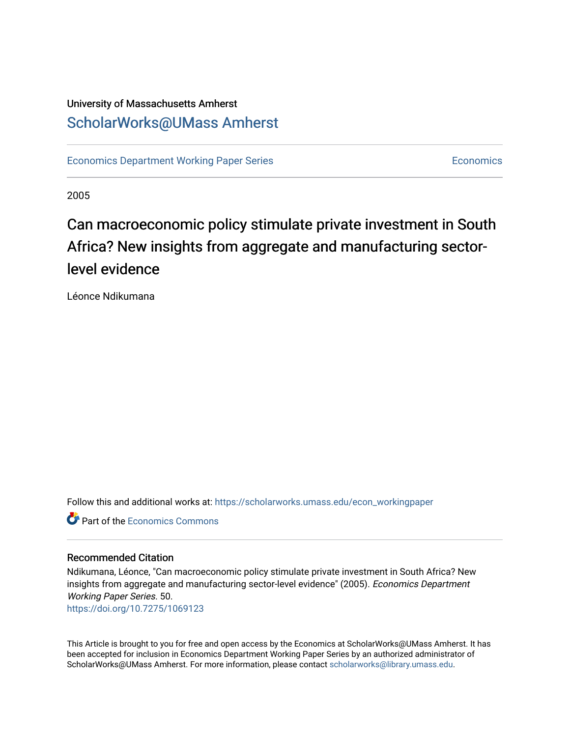### University of Massachusetts Amherst [ScholarWorks@UMass Amherst](https://scholarworks.umass.edu/)

[Economics Department Working Paper Series](https://scholarworks.umass.edu/econ_workingpaper) **Economics** [Economics](https://scholarworks.umass.edu/economics) Economics

2005

### Can macroeconomic policy stimulate private investment in South Africa? New insights from aggregate and manufacturing sectorlevel evidence

Léonce Ndikumana

Follow this and additional works at: [https://scholarworks.umass.edu/econ\\_workingpaper](https://scholarworks.umass.edu/econ_workingpaper?utm_source=scholarworks.umass.edu%2Fecon_workingpaper%2F50&utm_medium=PDF&utm_campaign=PDFCoverPages) 

**C** Part of the [Economics Commons](http://network.bepress.com/hgg/discipline/340?utm_source=scholarworks.umass.edu%2Fecon_workingpaper%2F50&utm_medium=PDF&utm_campaign=PDFCoverPages)

#### Recommended Citation

Ndikumana, Léonce, "Can macroeconomic policy stimulate private investment in South Africa? New insights from aggregate and manufacturing sector-level evidence" (2005). Economics Department Working Paper Series. 50.

<https://doi.org/10.7275/1069123>

This Article is brought to you for free and open access by the Economics at ScholarWorks@UMass Amherst. It has been accepted for inclusion in Economics Department Working Paper Series by an authorized administrator of ScholarWorks@UMass Amherst. For more information, please contact [scholarworks@library.umass.edu.](mailto:scholarworks@library.umass.edu)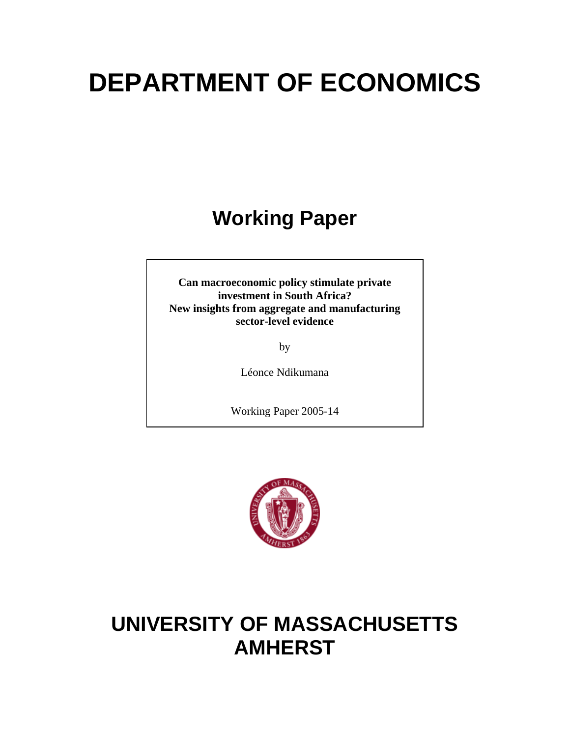# **DEPARTMENT OF ECONOMICS**

## **Working Paper**

**Can macroeconomic policy stimulate private investment in South Africa? New insights from aggregate and manufacturing sector-level evidence** 

by

Léonce Ndikumana

Working Paper 2005-14



### **UNIVERSITY OF MASSACHUSETTS AMHERST**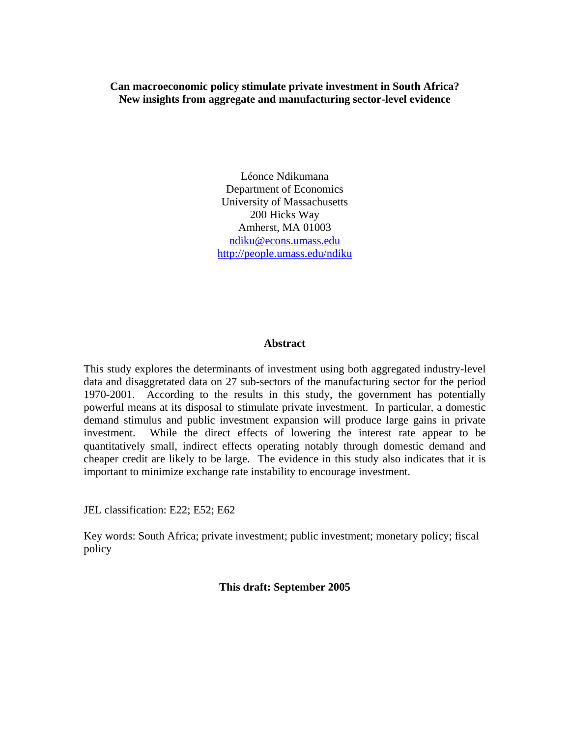**Can macroeconomic policy stimulate private investment in South Africa? New insights from aggregate and manufacturing sector-level evidence** 

> Léonce Ndikumana Department of Economics University of Massachusetts 200 Hicks Way Amherst, MA 01003 [ndiku@econs.umass.edu](mailto:ndiku@econs.umass.edu) <http://people.umass.edu/ndiku>

#### **Abstract**

This study explores the determinants of investment using both aggregated industry-level data and disaggretated data on 27 sub-sectors of the manufacturing sector for the period 1970-2001. According to the results in this study, the government has potentially powerful means at its disposal to stimulate private investment. In particular, a domestic demand stimulus and public investment expansion will produce large gains in private investment. While the direct effects of lowering the interest rate appear to be quantitatively small, indirect effects operating notably through domestic demand and cheaper credit are likely to be large. The evidence in this study also indicates that it is important to minimize exchange rate instability to encourage investment.

JEL classification: E22; E52; E62

Key words: South Africa; private investment; public investment; monetary policy; fiscal policy

#### **This draft: September 2005**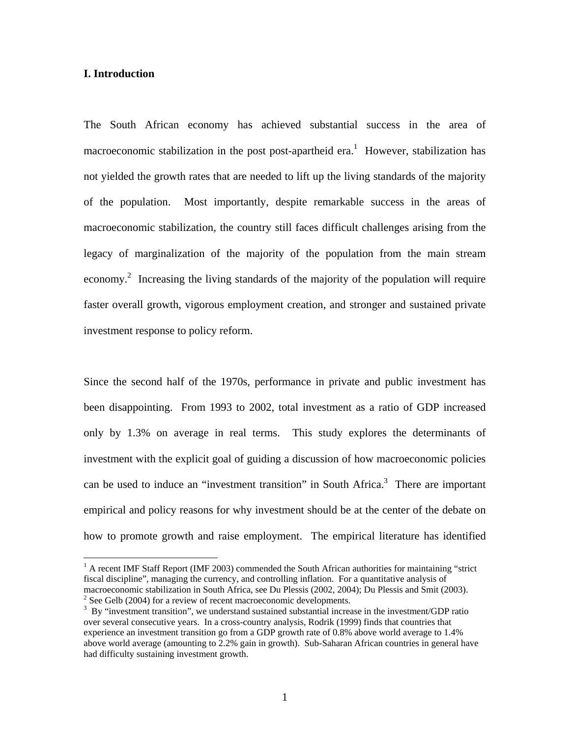#### **I. Introduction**

 $\overline{a}$ 

The South African economy has achieved substantial success in the area of macroeconomic stabilization in the post post-apartheid era.<sup>1</sup> However, stabilization has not yielded the growth rates that are needed to lift up the living standards of the majority of the population. Most importantly, despite remarkable success in the areas of macroeconomic stabilization, the country still faces difficult challenges arising from the legacy of marginalization of the majority of the population from the main stream economy.<sup>[2](#page-3-1)</sup> Increasing the living standards of the majority of the population will require faster overall growth, vigorous employment creation, and stronger and sustained private investment response to policy reform.

Since the second half of the 1970s, performance in private and public investment has been disappointing. From 1993 to 2002, total investment as a ratio of GDP increased only by 1.3% on average in real terms. This study explores the determinants of investment with the explicit goal of guiding a discussion of how macroeconomic policies can be used to induce an "investment transition" in South Africa.<sup>3</sup> There are important empirical and policy reasons for why investment should be at the center of the debate on how to promote growth and raise employment. The empirical literature has identified

<span id="page-3-0"></span><sup>&</sup>lt;sup>1</sup> A recent IMF Staff Report (IMF 2003) commended the South African authorities for maintaining "strict fiscal discipline", managing the currency, and controlling inflation. For a quantitative analysis of macroeconomic stabilization in South Africa, see Du Plessis (2002, 2004); Du Plessis and Smit (2003). <sup>2</sup>  $\frac{3}{2}$  See Gelb (2004) for a review of recent macroeconomic developments.

<span id="page-3-2"></span><span id="page-3-1"></span><sup>&</sup>lt;sup>3</sup> By "investment transition", we understand sustained substantial increase in the investment/GDP ratio over several consecutive years. In a cross-country analysis, Rodrik (1999) finds that countries that experience an investment transition go from a GDP growth rate of 0.8% above world average to 1.4% above world average (amounting to 2.2% gain in growth). Sub-Saharan African countries in general have had difficulty sustaining investment growth.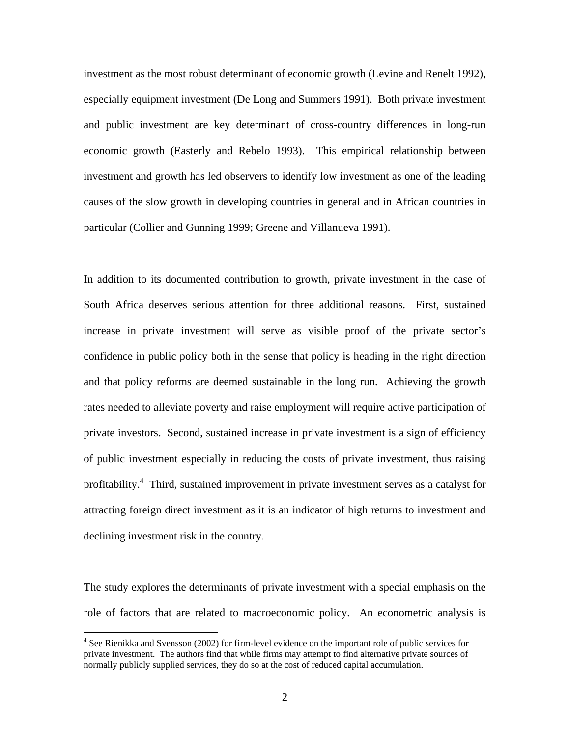investment as the most robust determinant of economic growth (Levine and Renelt 1992), especially equipment investment (De Long and Summers 1991). Both private investment and public investment are key determinant of cross-country differences in long-run economic growth (Easterly and Rebelo 1993). This empirical relationship between investment and growth has led observers to identify low investment as one of the leading causes of the slow growth in developing countries in general and in African countries in particular (Collier and Gunning 1999; Greene and Villanueva 1991).

In addition to its documented contribution to growth, private investment in the case of South Africa deserves serious attention for three additional reasons. First, sustained increase in private investment will serve as visible proof of the private sector's confidence in public policy both in the sense that policy is heading in the right direction and that policy reforms are deemed sustainable in the long run. Achieving the growth rates needed to alleviate poverty and raise employment will require active participation of private investors. Second, sustained increase in private investment is a sign of efficiency of public investment especially in reducing the costs of private investment, thus raising profitability.<sup>4</sup> Third, sustained improvement in private investment serves as a catalyst for attracting foreign direct investment as it is an indicator of high returns to investment and declining investment risk in the country.

The study explores the determinants of private investment with a special emphasis on the role of factors that are related to macroeconomic policy. An econometric analysis is

1

<span id="page-4-0"></span><sup>&</sup>lt;sup>4</sup> See Rienikka and Svensson (2002) for firm-level evidence on the important role of public services for private investment. The authors find that while firms may attempt to find alternative private sources of normally publicly supplied services, they do so at the cost of reduced capital accumulation.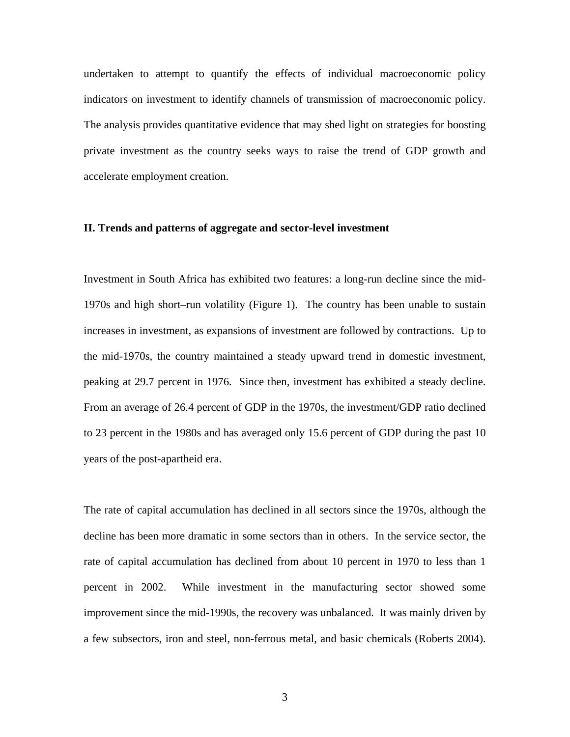undertaken to attempt to quantify the effects of individual macroeconomic policy indicators on investment to identify channels of transmission of macroeconomic policy. The analysis provides quantitative evidence that may shed light on strategies for boosting private investment as the country seeks ways to raise the trend of GDP growth and accelerate employment creation.

#### **II. Trends and patterns of aggregate and sector-level investment**

Investment in South Africa has exhibited two features: a long-run decline since the mid-1970s and high short–run volatility (Figure 1). The country has been unable to sustain increases in investment, as expansions of investment are followed by contractions. Up to the mid-1970s, the country maintained a steady upward trend in domestic investment, peaking at 29.7 percent in 1976. Since then, investment has exhibited a steady decline. From an average of 26.4 percent of GDP in the 1970s, the investment/GDP ratio declined to 23 percent in the 1980s and has averaged only 15.6 percent of GDP during the past 10 years of the post-apartheid era.

The rate of capital accumulation has declined in all sectors since the 1970s, although the decline has been more dramatic in some sectors than in others. In the service sector, the rate of capital accumulation has declined from about 10 percent in 1970 to less than 1 percent in 2002. While investment in the manufacturing sector showed some improvement since the mid-1990s, the recovery was unbalanced. It was mainly driven by a few subsectors, iron and steel, non-ferrous metal, and basic chemicals (Roberts 2004).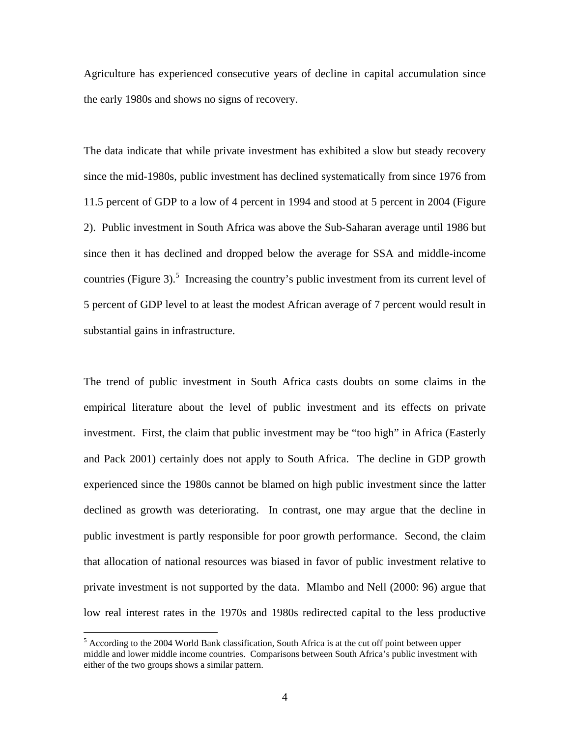Agriculture has experienced consecutive years of decline in capital accumulation since the early 1980s and shows no signs of recovery.

The data indicate that while private investment has exhibited a slow but steady recovery since the mid-1980s, public investment has declined systematically from since 1976 from 11.5 percent of GDP to a low of 4 percent in 1994 and stood at 5 percent in 2004 (Figure 2). Public investment in South Africa was above the Sub-Saharan average until 1986 but since then it has declined and dropped below the average for SSA and middle-income countries (Figure 3).<sup>5</sup> Increasing the country's public investment from its current level of 5 percent of GDP level to at least the modest African average of 7 percent would result in substantial gains in infrastructure.

The trend of public investment in South Africa casts doubts on some claims in the empirical literature about the level of public investment and its effects on private investment. First, the claim that public investment may be "too high" in Africa (Easterly and Pack 2001) certainly does not apply to South Africa. The decline in GDP growth experienced since the 1980s cannot be blamed on high public investment since the latter declined as growth was deteriorating. In contrast, one may argue that the decline in public investment is partly responsible for poor growth performance. Second, the claim that allocation of national resources was biased in favor of public investment relative to private investment is not supported by the data. Mlambo and Nell (2000: 96) argue that low real interest rates in the 1970s and 1980s redirected capital to the less productive

1

<span id="page-6-0"></span><sup>&</sup>lt;sup>5</sup> According to the 2004 World Bank classification, South Africa is at the cut off point between upper middle and lower middle income countries. Comparisons between South Africa's public investment with either of the two groups shows a similar pattern.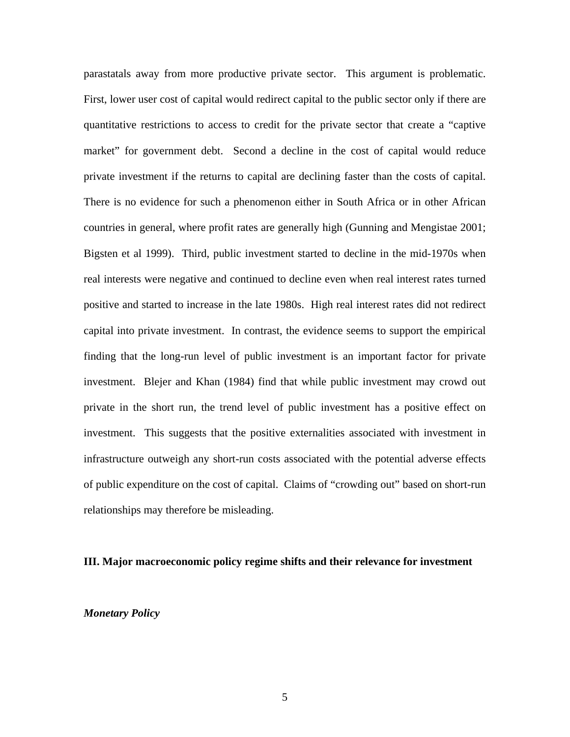parastatals away from more productive private sector. This argument is problematic. First, lower user cost of capital would redirect capital to the public sector only if there are quantitative restrictions to access to credit for the private sector that create a "captive market" for government debt. Second a decline in the cost of capital would reduce private investment if the returns to capital are declining faster than the costs of capital. There is no evidence for such a phenomenon either in South Africa or in other African countries in general, where profit rates are generally high (Gunning and Mengistae 2001; Bigsten et al 1999). Third, public investment started to decline in the mid-1970s when real interests were negative and continued to decline even when real interest rates turned positive and started to increase in the late 1980s. High real interest rates did not redirect capital into private investment. In contrast, the evidence seems to support the empirical finding that the long-run level of public investment is an important factor for private investment. Blejer and Khan (1984) find that while public investment may crowd out private in the short run, the trend level of public investment has a positive effect on investment. This suggests that the positive externalities associated with investment in infrastructure outweigh any short-run costs associated with the potential adverse effects of public expenditure on the cost of capital. Claims of "crowding out" based on short-run relationships may therefore be misleading.

#### **III. Major macroeconomic policy regime shifts and their relevance for investment**

#### *Monetary Policy*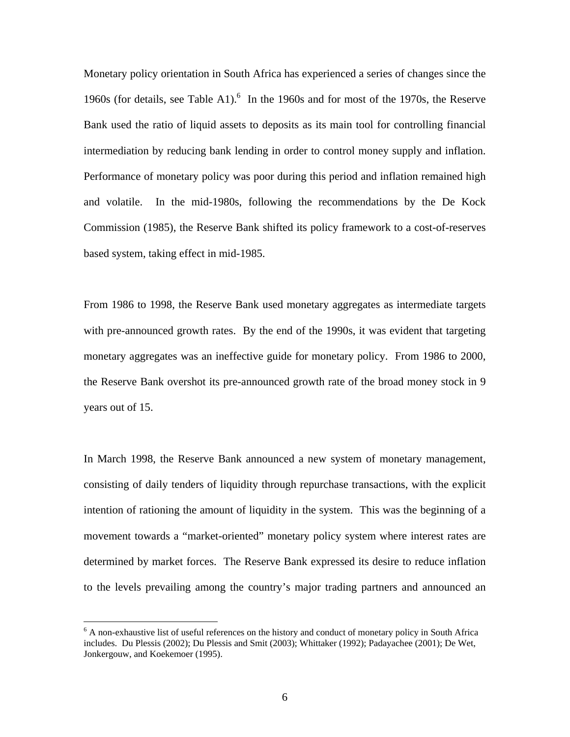Monetary policy orientation in South Africa has experienced a series of changes since the 1960s (for details, see Table A1). $<sup>6</sup>$  In the 1960s and for most of the 1970s, the Reserve</sup> Bank used the ratio of liquid assets to deposits as its main tool for controlling financial intermediation by reducing bank lending in order to control money supply and inflation. Performance of monetary policy was poor during this period and inflation remained high and volatile. In the mid-1980s, following the recommendations by the De Kock Commission (1985), the Reserve Bank shifted its policy framework to a cost-of-reserves based system, taking effect in mid-1985.

From 1986 to 1998, the Reserve Bank used monetary aggregates as intermediate targets with pre-announced growth rates. By the end of the 1990s, it was evident that targeting monetary aggregates was an ineffective guide for monetary policy. From 1986 to 2000, the Reserve Bank overshot its pre-announced growth rate of the broad money stock in 9 years out of 15.

In March 1998, the Reserve Bank announced a new system of monetary management, consisting of daily tenders of liquidity through repurchase transactions, with the explicit intention of rationing the amount of liquidity in the system. This was the beginning of a movement towards a "market-oriented" monetary policy system where interest rates are determined by market forces. The Reserve Bank expressed its desire to reduce inflation to the levels prevailing among the country's major trading partners and announced an

<u>.</u>

<span id="page-8-0"></span><sup>&</sup>lt;sup>6</sup> A non-exhaustive list of useful references on the history and conduct of monetary policy in South Africa includes. Du Plessis (2002); Du Plessis and Smit (2003); Whittaker (1992); Padayachee (2001); De Wet, Jonkergouw, and Koekemoer (1995).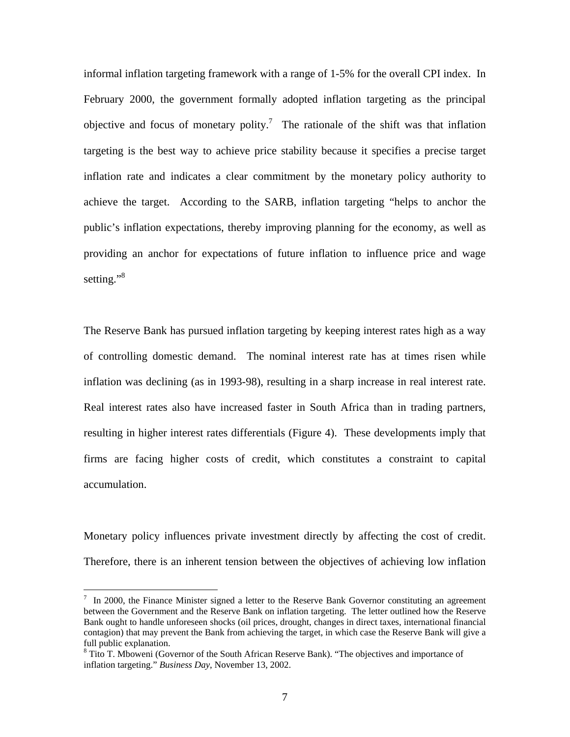informal inflation targeting framework with a range of 1-5% for the overall CPI index. In February 2000, the government formally adopted inflation targeting as the principal objective and focus of monetary polity.<sup>[7](#page-9-0)</sup> The rationale of the shift was that inflation targeting is the best way to achieve price stability because it specifies a precise target inflation rate and indicates a clear commitment by the monetary policy authority to achieve the target. According to the SARB, inflation targeting "helps to anchor the public's inflation expectations, thereby improving planning for the economy, as well as providing an anchor for expectations of future inflation to influence price and wage setting."<sup>8</sup>

The Reserve Bank has pursued inflation targeting by keeping interest rates high as a way of controlling domestic demand. The nominal interest rate has at times risen while inflation was declining (as in 1993-98), resulting in a sharp increase in real interest rate. Real interest rates also have increased faster in South Africa than in trading partners, resulting in higher interest rates differentials (Figure 4). These developments imply that firms are facing higher costs of credit, which constitutes a constraint to capital accumulation.

Monetary policy influences private investment directly by affecting the cost of credit. Therefore, there is an inherent tension between the objectives of achieving low inflation

 $\overline{a}$ 

<span id="page-9-0"></span> $7 \text{ In } 2000$ , the Finance Minister signed a letter to the Reserve Bank Governor constituting an agreement between the Government and the Reserve Bank on inflation targeting. The letter outlined how the Reserve Bank ought to handle unforeseen shocks (oil prices, drought, changes in direct taxes, international financial contagion) that may prevent the Bank from achieving the target, in which case the Reserve Bank will give a full public explanation.

<span id="page-9-1"></span><sup>&</sup>lt;sup>8</sup> Tito T. Mboweni (Governor of the South African Reserve Bank). "The objectives and importance of inflation targeting." *Business Day*, November 13, 2002.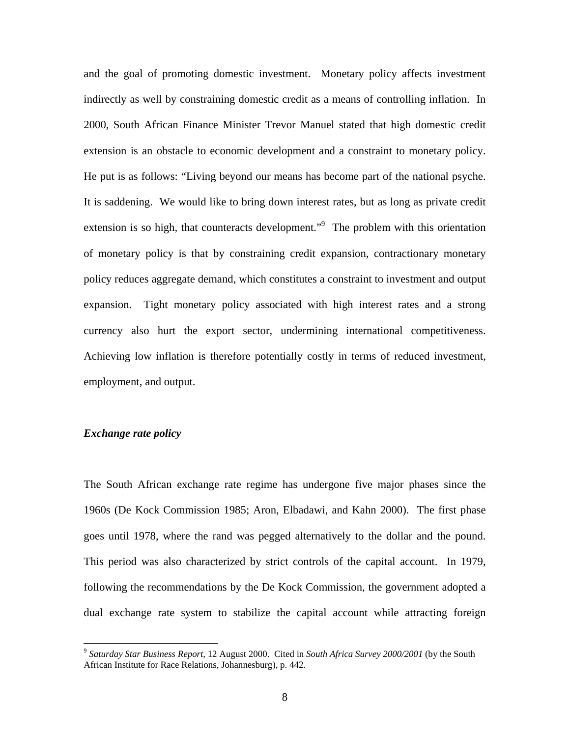and the goal of promoting domestic investment. Monetary policy affects investment indirectly as well by constraining domestic credit as a means of controlling inflation. In 2000, South African Finance Minister Trevor Manuel stated that high domestic credit extension is an obstacle to economic development and a constraint to monetary policy. He put is as follows: "Living beyond our means has become part of the national psyche. It is saddening. We would like to bring down interest rates, but as long as private credit extension is so high, that counteracts development."<sup>9</sup> The problem with this orientation of monetary policy is that by constraining credit expansion, contractionary monetary policy reduces aggregate demand, which constitutes a constraint to investment and output expansion. Tight monetary policy associated with high interest rates and a strong currency also hurt the export sector, undermining international competitiveness. Achieving low inflation is therefore potentially costly in terms of reduced investment, employment, and output.

#### *Exchange rate policy*

1

The South African exchange rate regime has undergone five major phases since the 1960s (De Kock Commission 1985; Aron, Elbadawi, and Kahn 2000). The first phase goes until 1978, where the rand was pegged alternatively to the dollar and the pound. This period was also characterized by strict controls of the capital account. In 1979, following the recommendations by the De Kock Commission, the government adopted a dual exchange rate system to stabilize the capital account while attracting foreign

<span id="page-10-0"></span><sup>9</sup> *Saturday Star Business Report*, 12 August 2000. Cited in *South Africa Survey 2000/2001* (by the South African Institute for Race Relations, Johannesburg), p. 442.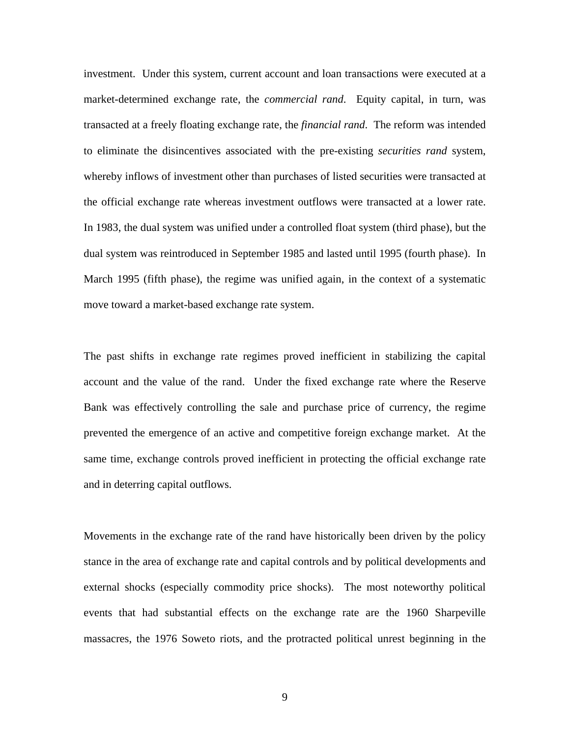investment. Under this system, current account and loan transactions were executed at a market-determined exchange rate, the *commercial rand*. Equity capital, in turn, was transacted at a freely floating exchange rate, the *financial rand*. The reform was intended to eliminate the disincentives associated with the pre-existing *securities rand* system, whereby inflows of investment other than purchases of listed securities were transacted at the official exchange rate whereas investment outflows were transacted at a lower rate. In 1983, the dual system was unified under a controlled float system (third phase), but the dual system was reintroduced in September 1985 and lasted until 1995 (fourth phase). In March 1995 (fifth phase), the regime was unified again, in the context of a systematic move toward a market-based exchange rate system.

The past shifts in exchange rate regimes proved inefficient in stabilizing the capital account and the value of the rand. Under the fixed exchange rate where the Reserve Bank was effectively controlling the sale and purchase price of currency, the regime prevented the emergence of an active and competitive foreign exchange market. At the same time, exchange controls proved inefficient in protecting the official exchange rate and in deterring capital outflows.

Movements in the exchange rate of the rand have historically been driven by the policy stance in the area of exchange rate and capital controls and by political developments and external shocks (especially commodity price shocks). The most noteworthy political events that had substantial effects on the exchange rate are the 1960 Sharpeville massacres, the 1976 Soweto riots, and the protracted political unrest beginning in the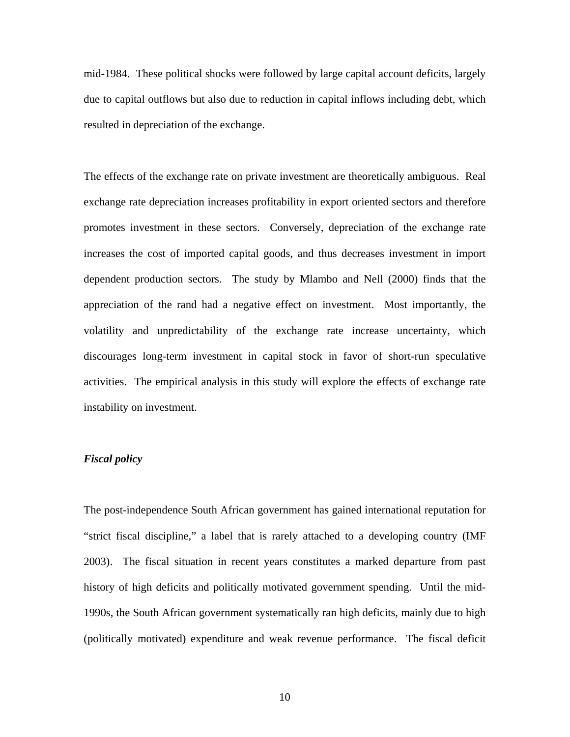mid-1984. These political shocks were followed by large capital account deficits, largely due to capital outflows but also due to reduction in capital inflows including debt, which resulted in depreciation of the exchange.

The effects of the exchange rate on private investment are theoretically ambiguous. Real exchange rate depreciation increases profitability in export oriented sectors and therefore promotes investment in these sectors. Conversely, depreciation of the exchange rate increases the cost of imported capital goods, and thus decreases investment in import dependent production sectors. The study by Mlambo and Nell (2000) finds that the appreciation of the rand had a negative effect on investment. Most importantly, the volatility and unpredictability of the exchange rate increase uncertainty, which discourages long-term investment in capital stock in favor of short-run speculative activities. The empirical analysis in this study will explore the effects of exchange rate instability on investment.

#### *Fiscal policy*

The post-independence South African government has gained international reputation for "strict fiscal discipline," a label that is rarely attached to a developing country (IMF 2003). The fiscal situation in recent years constitutes a marked departure from past history of high deficits and politically motivated government spending. Until the mid-1990s, the South African government systematically ran high deficits, mainly due to high (politically motivated) expenditure and weak revenue performance. The fiscal deficit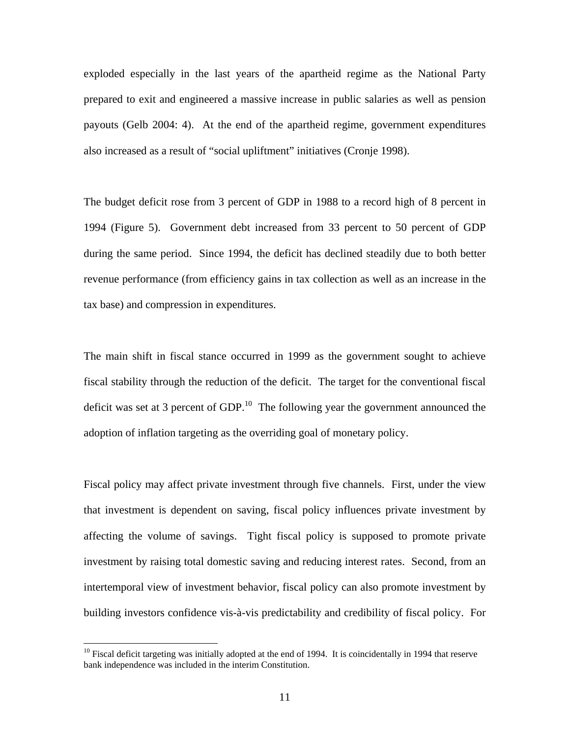exploded especially in the last years of the apartheid regime as the National Party prepared to exit and engineered a massive increase in public salaries as well as pension payouts (Gelb 2004: 4). At the end of the apartheid regime, government expenditures also increased as a result of "social upliftment" initiatives (Cronje 1998).

The budget deficit rose from 3 percent of GDP in 1988 to a record high of 8 percent in 1994 (Figure 5). Government debt increased from 33 percent to 50 percent of GDP during the same period. Since 1994, the deficit has declined steadily due to both better revenue performance (from efficiency gains in tax collection as well as an increase in the tax base) and compression in expenditures.

The main shift in fiscal stance occurred in 1999 as the government sought to achieve fiscal stability through the reduction of the deficit. The target for the conventional fiscal deficit was set at 3 percent of  $GDP<sup>10</sup>$ . The following year the government announced the adoption of inflation targeting as the overriding goal of monetary policy.

Fiscal policy may affect private investment through five channels. First, under the view that investment is dependent on saving, fiscal policy influences private investment by affecting the volume of savings. Tight fiscal policy is supposed to promote private investment by raising total domestic saving and reducing interest rates. Second, from an intertemporal view of investment behavior, fiscal policy can also promote investment by building investors confidence vis-à-vis predictability and credibility of fiscal policy. For

1

<span id="page-13-0"></span> $10$  Fiscal deficit targeting was initially adopted at the end of 1994. It is coincidentally in 1994 that reserve bank independence was included in the interim Constitution.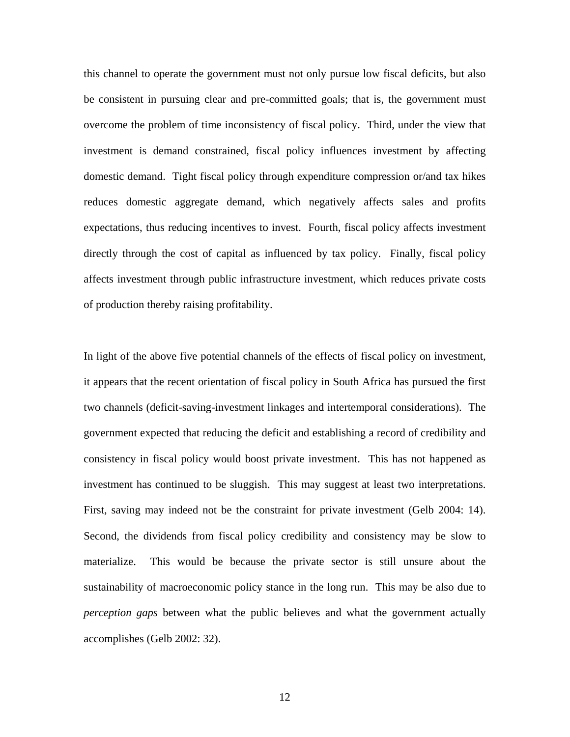this channel to operate the government must not only pursue low fiscal deficits, but also be consistent in pursuing clear and pre-committed goals; that is, the government must overcome the problem of time inconsistency of fiscal policy. Third, under the view that investment is demand constrained, fiscal policy influences investment by affecting domestic demand. Tight fiscal policy through expenditure compression or/and tax hikes reduces domestic aggregate demand, which negatively affects sales and profits expectations, thus reducing incentives to invest. Fourth, fiscal policy affects investment directly through the cost of capital as influenced by tax policy. Finally, fiscal policy affects investment through public infrastructure investment, which reduces private costs of production thereby raising profitability.

In light of the above five potential channels of the effects of fiscal policy on investment, it appears that the recent orientation of fiscal policy in South Africa has pursued the first two channels (deficit-saving-investment linkages and intertemporal considerations). The government expected that reducing the deficit and establishing a record of credibility and consistency in fiscal policy would boost private investment. This has not happened as investment has continued to be sluggish. This may suggest at least two interpretations. First, saving may indeed not be the constraint for private investment (Gelb 2004: 14). Second, the dividends from fiscal policy credibility and consistency may be slow to materialize. This would be because the private sector is still unsure about the sustainability of macroeconomic policy stance in the long run. This may be also due to *perception gaps* between what the public believes and what the government actually accomplishes (Gelb 2002: 32).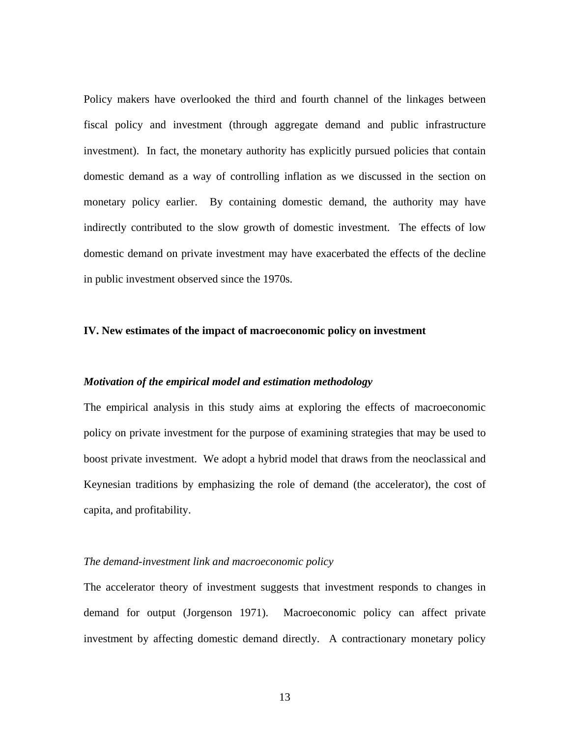Policy makers have overlooked the third and fourth channel of the linkages between fiscal policy and investment (through aggregate demand and public infrastructure investment). In fact, the monetary authority has explicitly pursued policies that contain domestic demand as a way of controlling inflation as we discussed in the section on monetary policy earlier. By containing domestic demand, the authority may have indirectly contributed to the slow growth of domestic investment. The effects of low domestic demand on private investment may have exacerbated the effects of the decline in public investment observed since the 1970s.

#### **IV. New estimates of the impact of macroeconomic policy on investment**

#### *Motivation of the empirical model and estimation methodology*

The empirical analysis in this study aims at exploring the effects of macroeconomic policy on private investment for the purpose of examining strategies that may be used to boost private investment. We adopt a hybrid model that draws from the neoclassical and Keynesian traditions by emphasizing the role of demand (the accelerator), the cost of capita, and profitability.

#### *The demand-investment link and macroeconomic policy*

The accelerator theory of investment suggests that investment responds to changes in demand for output (Jorgenson 1971). Macroeconomic policy can affect private investment by affecting domestic demand directly. A contractionary monetary policy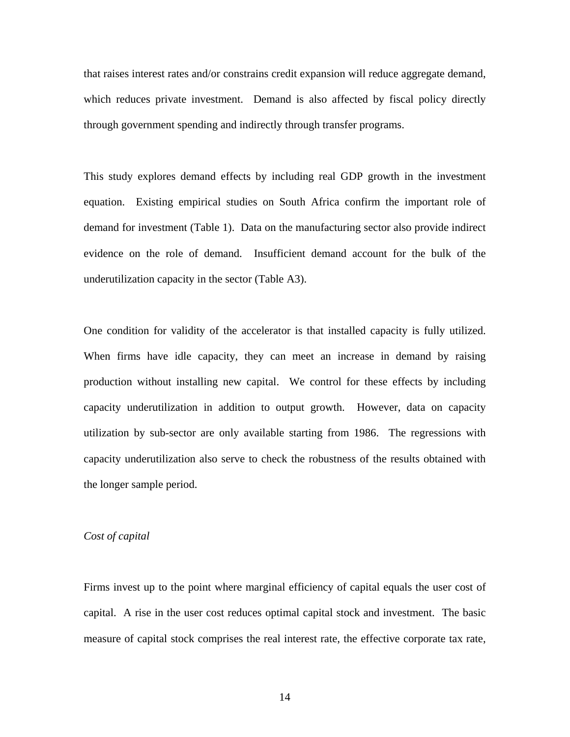that raises interest rates and/or constrains credit expansion will reduce aggregate demand, which reduces private investment. Demand is also affected by fiscal policy directly through government spending and indirectly through transfer programs.

This study explores demand effects by including real GDP growth in the investment equation. Existing empirical studies on South Africa confirm the important role of demand for investment (Table 1). Data on the manufacturing sector also provide indirect evidence on the role of demand. Insufficient demand account for the bulk of the underutilization capacity in the sector (Table A3).

One condition for validity of the accelerator is that installed capacity is fully utilized. When firms have idle capacity, they can meet an increase in demand by raising production without installing new capital. We control for these effects by including capacity underutilization in addition to output growth. However, data on capacity utilization by sub-sector are only available starting from 1986. The regressions with capacity underutilization also serve to check the robustness of the results obtained with the longer sample period.

#### *Cost of capital*

Firms invest up to the point where marginal efficiency of capital equals the user cost of capital. A rise in the user cost reduces optimal capital stock and investment. The basic measure of capital stock comprises the real interest rate, the effective corporate tax rate,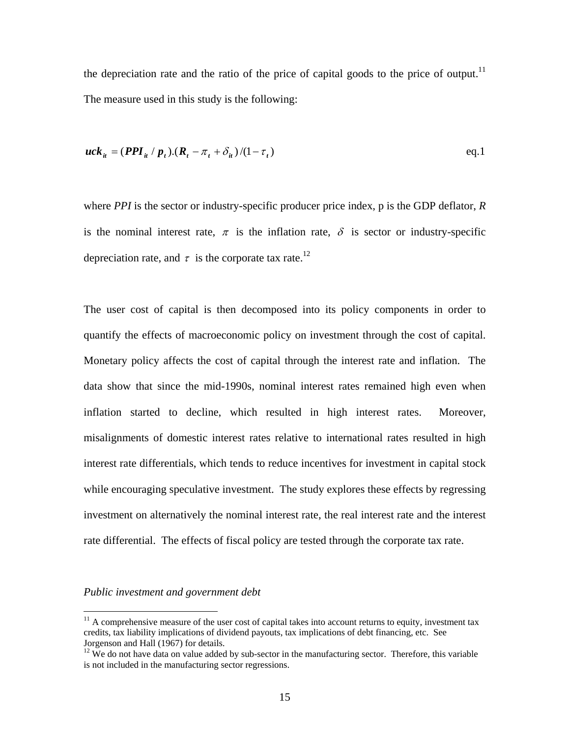the depreciation rate and the ratio of the price of capital goods to the price of output.<sup>11</sup> The measure used in this study is the following:

$$
uck_{it} = (PPI_{it} / p_t).(R_t - \pi_t + \delta_{it})/(1 - \tau_t)
$$
eq.1

where *PPI* is the sector or industry-specific producer price index, p is the GDP deflator, *R* is the nominal interest rate,  $\pi$  is the inflation rate,  $\delta$  is sector or industry-specific depreciation rate, and  $\tau$  is the corporate tax rate.<sup>12</sup>

The user cost of capital is then decomposed into its policy components in order to quantify the effects of macroeconomic policy on investment through the cost of capital. Monetary policy affects the cost of capital through the interest rate and inflation. The data show that since the mid-1990s, nominal interest rates remained high even when inflation started to decline, which resulted in high interest rates. Moreover, misalignments of domestic interest rates relative to international rates resulted in high interest rate differentials, which tends to reduce incentives for investment in capital stock while encouraging speculative investment. The study explores these effects by regressing investment on alternatively the nominal interest rate, the real interest rate and the interest rate differential. The effects of fiscal policy are tested through the corporate tax rate.

#### *Public investment and government debt*

 $\overline{a}$ 

<span id="page-17-0"></span> $11$  A comprehensive measure of the user cost of capital takes into account returns to equity, investment tax credits, tax liability implications of dividend payouts, tax implications of debt financing, etc. See Jorgenson and Hall (1967) for details.<br><sup>12</sup> We do not have data on value added by sub-sector in the manufacturing sector. Therefore, this variable

<span id="page-17-1"></span>is not included in the manufacturing sector regressions.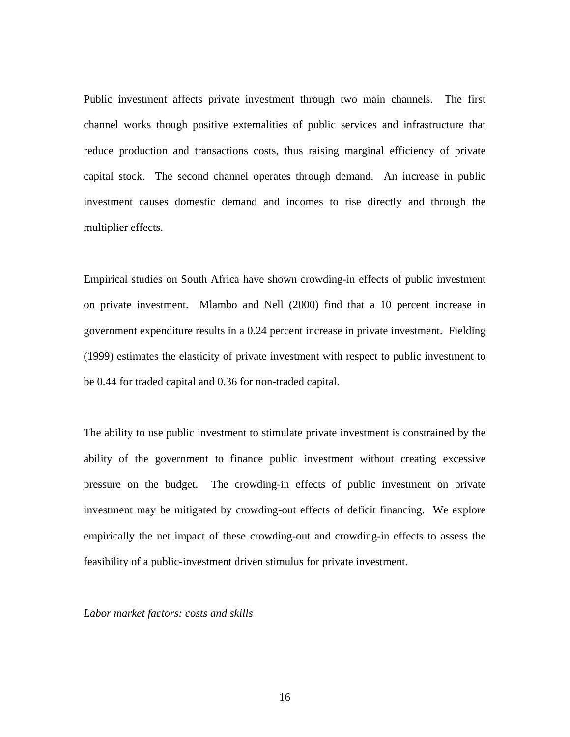Public investment affects private investment through two main channels. The first channel works though positive externalities of public services and infrastructure that reduce production and transactions costs, thus raising marginal efficiency of private capital stock. The second channel operates through demand. An increase in public investment causes domestic demand and incomes to rise directly and through the multiplier effects.

Empirical studies on South Africa have shown crowding-in effects of public investment on private investment. Mlambo and Nell (2000) find that a 10 percent increase in government expenditure results in a 0.24 percent increase in private investment. Fielding (1999) estimates the elasticity of private investment with respect to public investment to be 0.44 for traded capital and 0.36 for non-traded capital.

The ability to use public investment to stimulate private investment is constrained by the ability of the government to finance public investment without creating excessive pressure on the budget. The crowding-in effects of public investment on private investment may be mitigated by crowding-out effects of deficit financing. We explore empirically the net impact of these crowding-out and crowding-in effects to assess the feasibility of a public-investment driven stimulus for private investment.

*Labor market factors: costs and skills*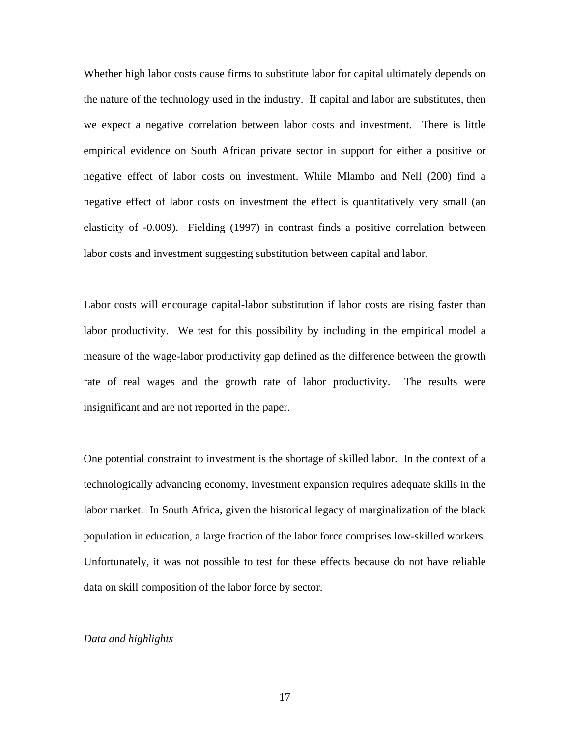Whether high labor costs cause firms to substitute labor for capital ultimately depends on the nature of the technology used in the industry. If capital and labor are substitutes, then we expect a negative correlation between labor costs and investment. There is little empirical evidence on South African private sector in support for either a positive or negative effect of labor costs on investment. While Mlambo and Nell (200) find a negative effect of labor costs on investment the effect is quantitatively very small (an elasticity of -0.009). Fielding (1997) in contrast finds a positive correlation between labor costs and investment suggesting substitution between capital and labor.

Labor costs will encourage capital-labor substitution if labor costs are rising faster than labor productivity. We test for this possibility by including in the empirical model a measure of the wage-labor productivity gap defined as the difference between the growth rate of real wages and the growth rate of labor productivity. The results were insignificant and are not reported in the paper.

One potential constraint to investment is the shortage of skilled labor. In the context of a technologically advancing economy, investment expansion requires adequate skills in the labor market. In South Africa, given the historical legacy of marginalization of the black population in education, a large fraction of the labor force comprises low-skilled workers. Unfortunately, it was not possible to test for these effects because do not have reliable data on skill composition of the labor force by sector.

#### *Data and highlights*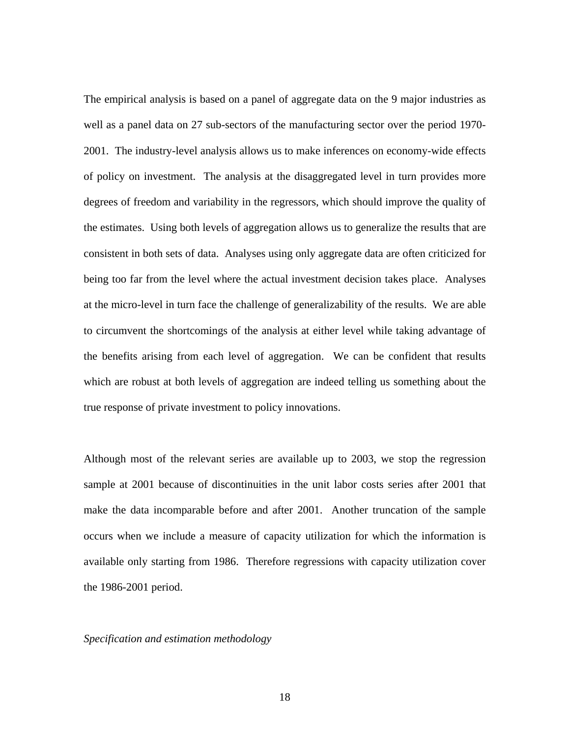The empirical analysis is based on a panel of aggregate data on the 9 major industries as well as a panel data on 27 sub-sectors of the manufacturing sector over the period 1970- 2001. The industry-level analysis allows us to make inferences on economy-wide effects of policy on investment. The analysis at the disaggregated level in turn provides more degrees of freedom and variability in the regressors, which should improve the quality of the estimates. Using both levels of aggregation allows us to generalize the results that are consistent in both sets of data. Analyses using only aggregate data are often criticized for being too far from the level where the actual investment decision takes place. Analyses at the micro-level in turn face the challenge of generalizability of the results. We are able to circumvent the shortcomings of the analysis at either level while taking advantage of the benefits arising from each level of aggregation. We can be confident that results which are robust at both levels of aggregation are indeed telling us something about the true response of private investment to policy innovations.

Although most of the relevant series are available up to 2003, we stop the regression sample at 2001 because of discontinuities in the unit labor costs series after 2001 that make the data incomparable before and after 2001. Another truncation of the sample occurs when we include a measure of capacity utilization for which the information is available only starting from 1986. Therefore regressions with capacity utilization cover the 1986-2001 period.

#### *Specification and estimation methodology*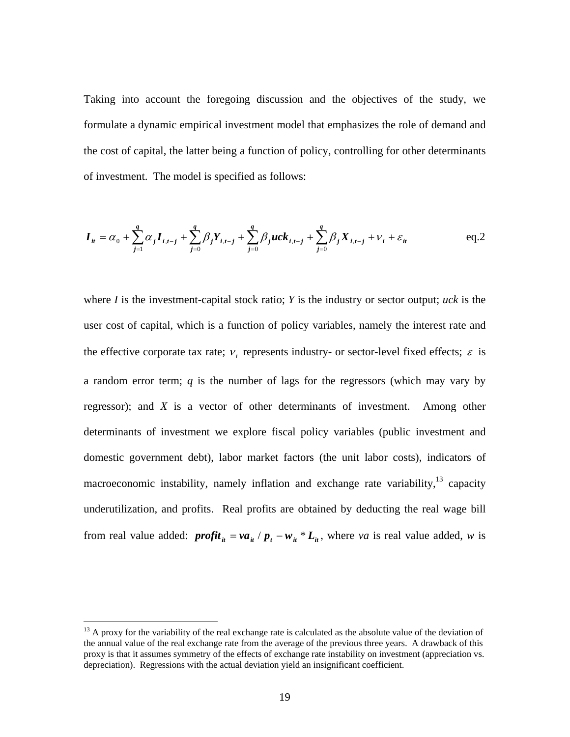Taking into account the foregoing discussion and the objectives of the study, we formulate a dynamic empirical investment model that emphasizes the role of demand and the cost of capital, the latter being a function of policy, controlling for other determinants of investment. The model is specified as follows:

$$
\boldsymbol{I}_{it} = \alpha_0 + \sum_{j=1}^{q} \alpha_j \boldsymbol{I}_{i,t-j} + \sum_{j=0}^{q} \beta_j \boldsymbol{Y}_{i,t-j} + \sum_{j=0}^{q} \beta_j u c \boldsymbol{k}_{i,t-j} + \sum_{j=0}^{q} \beta_j \boldsymbol{X}_{i,t-j} + \nu_i + \varepsilon_{it}
$$
 eq.2

where *I* is the investment-capital stock ratio; *Y* is the industry or sector output; *uck* is the user cost of capital, which is a function of policy variables, namely the interest rate and the effective corporate tax rate;  $v_i$  represents industry- or sector-level fixed effects;  $\varepsilon$  is a random error term; *q* is the number of lags for the regressors (which may vary by regressor); and *X* is a vector of other determinants of investment. Among other determinants of investment we explore fiscal policy variables (public investment and domestic government debt), labor market factors (the unit labor costs), indicators of macroeconomic instability, namely inflation and exchange rate variability,  $13$  capacity underutilization, and profits. Real profits are obtained by deducting the real wage bill from real value added:  $\text{profit}_{it} = \text{va}_{it} / p_t - \text{w}_{it} * L_{it}$ , where *va* is real value added, *w* is

 $\overline{a}$ 

<span id="page-21-0"></span> $13$  A proxy for the variability of the real exchange rate is calculated as the absolute value of the deviation of the annual value of the real exchange rate from the average of the previous three years. A drawback of this proxy is that it assumes symmetry of the effects of exchange rate instability on investment (appreciation vs. depreciation). Regressions with the actual deviation yield an insignificant coefficient.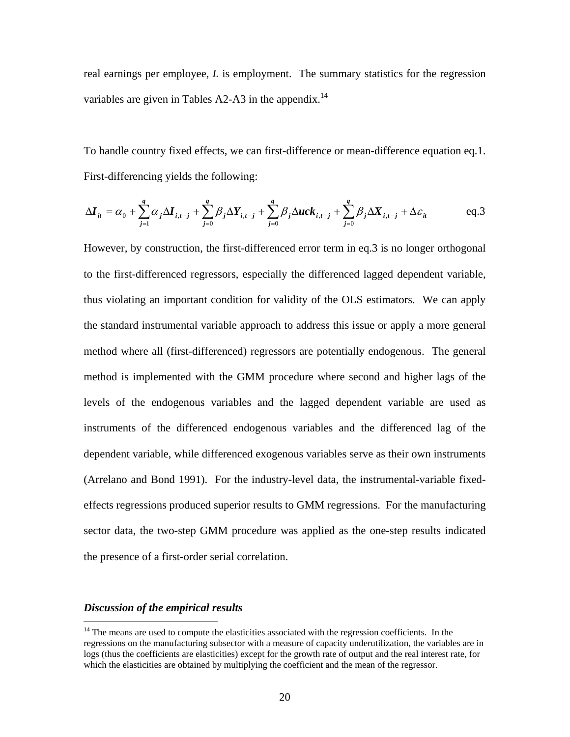real earnings per employee, *L* is employment. The summary statistics for the regression variables are given in Tables A2-A3 in the appendix.<sup>14</sup>

To handle country fixed effects, we can first-difference or mean-difference equation eq.1. First-differencing yields the following:

$$
\Delta \boldsymbol{I}_{it} = \alpha_0 + \sum_{j=1}^{q} \alpha_j \Delta \boldsymbol{I}_{i,t-j} + \sum_{j=0}^{q} \beta_j \Delta \boldsymbol{Y}_{i,t-j} + \sum_{j=0}^{q} \beta_j \Delta u c \boldsymbol{k}_{i,t-j} + \sum_{j=0}^{q} \beta_j \Delta \boldsymbol{X}_{i,t-j} + \Delta \varepsilon_{it}
$$
 eq.3

However, by construction, the first-differenced error term in eq.3 is no longer orthogonal to the first-differenced regressors, especially the differenced lagged dependent variable, thus violating an important condition for validity of the OLS estimators. We can apply the standard instrumental variable approach to address this issue or apply a more general method where all (first-differenced) regressors are potentially endogenous. The general method is implemented with the GMM procedure where second and higher lags of the levels of the endogenous variables and the lagged dependent variable are used as instruments of the differenced endogenous variables and the differenced lag of the dependent variable, while differenced exogenous variables serve as their own instruments (Arrelano and Bond 1991). For the industry-level data, the instrumental-variable fixedeffects regressions produced superior results to GMM regressions. For the manufacturing sector data, the two-step GMM procedure was applied as the one-step results indicated the presence of a first-order serial correlation.

#### *Discussion of the empirical results*

<u>.</u>

<span id="page-22-0"></span> $14$  The means are used to compute the elasticities associated with the regression coefficients. In the regressions on the manufacturing subsector with a measure of capacity underutilization, the variables are in logs (thus the coefficients are elasticities) except for the growth rate of output and the real interest rate, for which the elasticities are obtained by multiplying the coefficient and the mean of the regressor.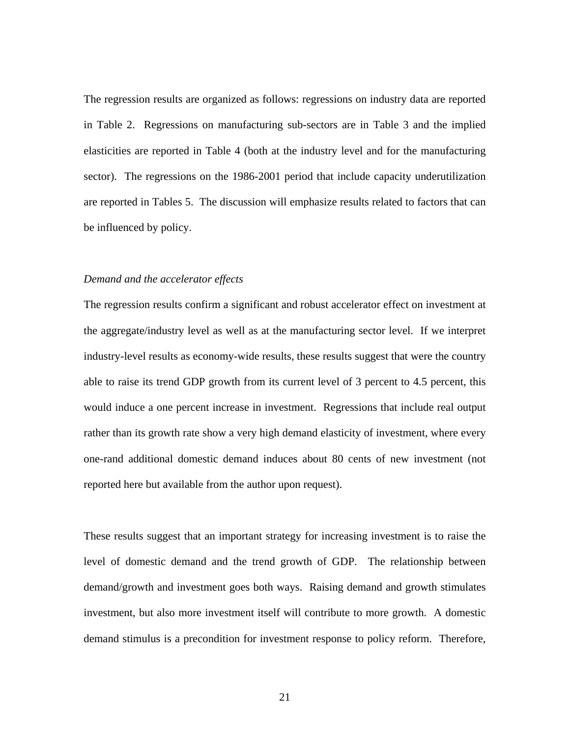The regression results are organized as follows: regressions on industry data are reported in Table 2. Regressions on manufacturing sub-sectors are in Table 3 and the implied elasticities are reported in Table 4 (both at the industry level and for the manufacturing sector). The regressions on the 1986-2001 period that include capacity underutilization are reported in Tables 5. The discussion will emphasize results related to factors that can be influenced by policy.

#### *Demand and the accelerator effects*

The regression results confirm a significant and robust accelerator effect on investment at the aggregate/industry level as well as at the manufacturing sector level. If we interpret industry-level results as economy-wide results, these results suggest that were the country able to raise its trend GDP growth from its current level of 3 percent to 4.5 percent, this would induce a one percent increase in investment. Regressions that include real output rather than its growth rate show a very high demand elasticity of investment, where every one-rand additional domestic demand induces about 80 cents of new investment (not reported here but available from the author upon request).

These results suggest that an important strategy for increasing investment is to raise the level of domestic demand and the trend growth of GDP. The relationship between demand/growth and investment goes both ways. Raising demand and growth stimulates investment, but also more investment itself will contribute to more growth. A domestic demand stimulus is a precondition for investment response to policy reform. Therefore,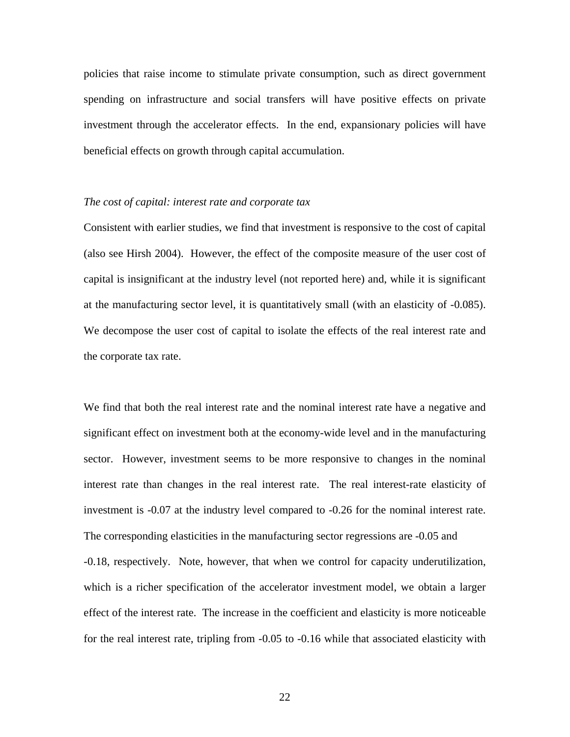policies that raise income to stimulate private consumption, such as direct government spending on infrastructure and social transfers will have positive effects on private investment through the accelerator effects. In the end, expansionary policies will have beneficial effects on growth through capital accumulation.

#### *The cost of capital: interest rate and corporate tax*

Consistent with earlier studies, we find that investment is responsive to the cost of capital (also see Hirsh 2004). However, the effect of the composite measure of the user cost of capital is insignificant at the industry level (not reported here) and, while it is significant at the manufacturing sector level, it is quantitatively small (with an elasticity of -0.085). We decompose the user cost of capital to isolate the effects of the real interest rate and the corporate tax rate.

We find that both the real interest rate and the nominal interest rate have a negative and significant effect on investment both at the economy-wide level and in the manufacturing sector. However, investment seems to be more responsive to changes in the nominal interest rate than changes in the real interest rate. The real interest-rate elasticity of investment is -0.07 at the industry level compared to -0.26 for the nominal interest rate. The corresponding elasticities in the manufacturing sector regressions are -0.05 and -0.18, respectively. Note, however, that when we control for capacity underutilization, which is a richer specification of the accelerator investment model, we obtain a larger effect of the interest rate. The increase in the coefficient and elasticity is more noticeable for the real interest rate, tripling from -0.05 to -0.16 while that associated elasticity with

22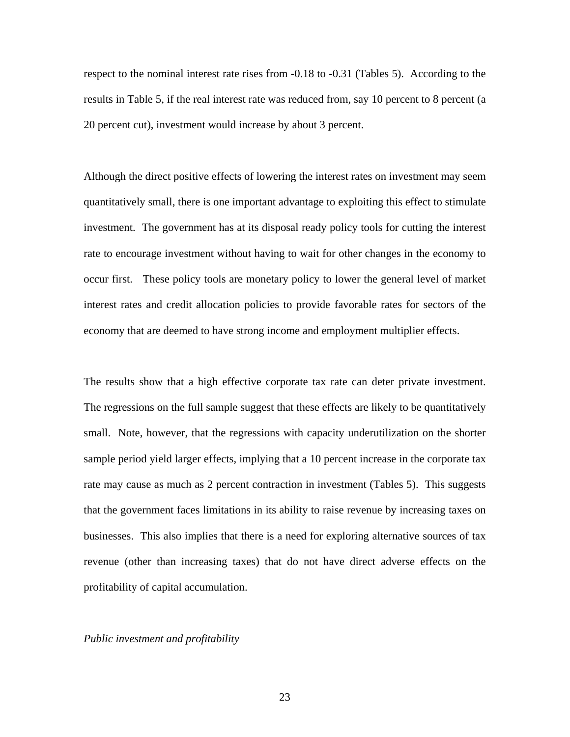respect to the nominal interest rate rises from -0.18 to -0.31 (Tables 5). According to the results in Table 5, if the real interest rate was reduced from, say 10 percent to 8 percent (a 20 percent cut), investment would increase by about 3 percent.

Although the direct positive effects of lowering the interest rates on investment may seem quantitatively small, there is one important advantage to exploiting this effect to stimulate investment. The government has at its disposal ready policy tools for cutting the interest rate to encourage investment without having to wait for other changes in the economy to occur first. These policy tools are monetary policy to lower the general level of market interest rates and credit allocation policies to provide favorable rates for sectors of the economy that are deemed to have strong income and employment multiplier effects.

The results show that a high effective corporate tax rate can deter private investment. The regressions on the full sample suggest that these effects are likely to be quantitatively small. Note, however, that the regressions with capacity underutilization on the shorter sample period yield larger effects, implying that a 10 percent increase in the corporate tax rate may cause as much as 2 percent contraction in investment (Tables 5). This suggests that the government faces limitations in its ability to raise revenue by increasing taxes on businesses. This also implies that there is a need for exploring alternative sources of tax revenue (other than increasing taxes) that do not have direct adverse effects on the profitability of capital accumulation.

#### *Public investment and profitability*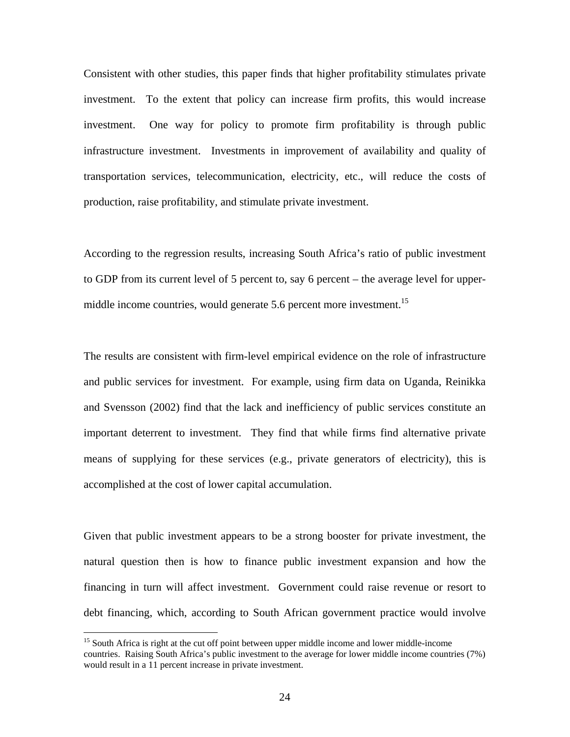Consistent with other studies, this paper finds that higher profitability stimulates private investment. To the extent that policy can increase firm profits, this would increase investment. One way for policy to promote firm profitability is through public infrastructure investment. Investments in improvement of availability and quality of transportation services, telecommunication, electricity, etc., will reduce the costs of production, raise profitability, and stimulate private investment.

According to the regression results, increasing South Africa's ratio of public investment to GDP from its current level of 5 percent to, say 6 percent – the average level for uppermiddle income countries, would generate 5.6 percent more investment.<sup>15</sup>

The results are consistent with firm-level empirical evidence on the role of infrastructure and public services for investment. For example, using firm data on Uganda, Reinikka and Svensson (2002) find that the lack and inefficiency of public services constitute an important deterrent to investment. They find that while firms find alternative private means of supplying for these services (e.g., private generators of electricity), this is accomplished at the cost of lower capital accumulation.

Given that public investment appears to be a strong booster for private investment, the natural question then is how to finance public investment expansion and how the financing in turn will affect investment. Government could raise revenue or resort to debt financing, which, according to South African government practice would involve

1

<span id="page-26-0"></span><sup>&</sup>lt;sup>15</sup> South Africa is right at the cut off point between upper middle income and lower middle-income countries. Raising South Africa's public investment to the average for lower middle income countries (7%) would result in a 11 percent increase in private investment.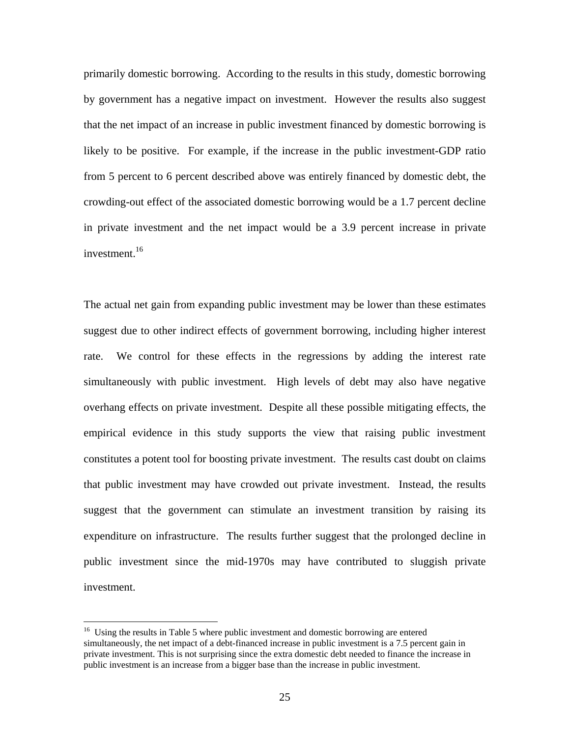primarily domestic borrowing. According to the results in this study, domestic borrowing by government has a negative impact on investment. However the results also suggest that the net impact of an increase in public investment financed by domestic borrowing is likely to be positive. For example, if the increase in the public investment-GDP ratio from 5 percent to 6 percent described above was entirely financed by domestic debt, the crowding-out effect of the associated domestic borrowing would be a 1.7 percent decline in private investment and the net impact would be a 3.9 percent increase in private investment. $16$ 

The actual net gain from expanding public investment may be lower than these estimates suggest due to other indirect effects of government borrowing, including higher interest rate. We control for these effects in the regressions by adding the interest rate simultaneously with public investment. High levels of debt may also have negative overhang effects on private investment. Despite all these possible mitigating effects, the empirical evidence in this study supports the view that raising public investment constitutes a potent tool for boosting private investment. The results cast doubt on claims that public investment may have crowded out private investment. Instead, the results suggest that the government can stimulate an investment transition by raising its expenditure on infrastructure. The results further suggest that the prolonged decline in public investment since the mid-1970s may have contributed to sluggish private investment.

 $\overline{a}$ 

<span id="page-27-0"></span><sup>&</sup>lt;sup>16</sup> Using the results in Table 5 where public investment and domestic borrowing are entered simultaneously, the net impact of a debt-financed increase in public investment is a 7.5 percent gain in private investment. This is not surprising since the extra domestic debt needed to finance the increase in public investment is an increase from a bigger base than the increase in public investment.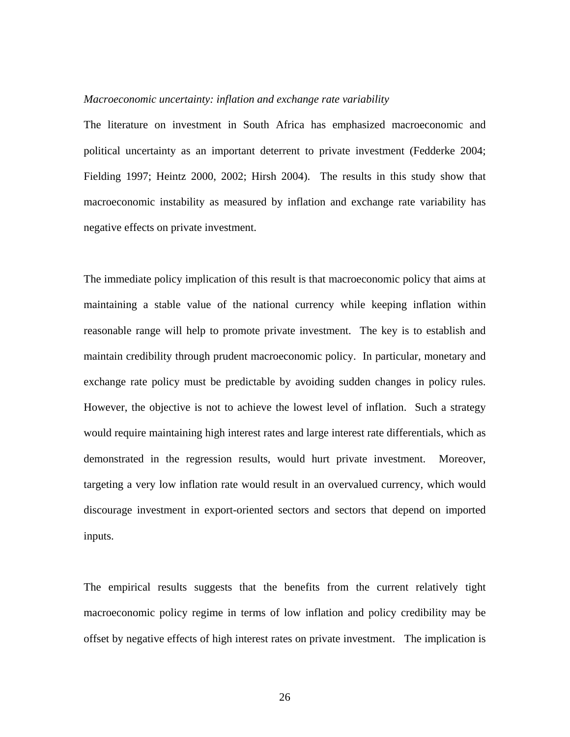#### *Macroeconomic uncertainty: inflation and exchange rate variability*

The literature on investment in South Africa has emphasized macroeconomic and political uncertainty as an important deterrent to private investment (Fedderke 2004; Fielding 1997; Heintz 2000, 2002; Hirsh 2004). The results in this study show that macroeconomic instability as measured by inflation and exchange rate variability has negative effects on private investment.

The immediate policy implication of this result is that macroeconomic policy that aims at maintaining a stable value of the national currency while keeping inflation within reasonable range will help to promote private investment. The key is to establish and maintain credibility through prudent macroeconomic policy. In particular, monetary and exchange rate policy must be predictable by avoiding sudden changes in policy rules. However, the objective is not to achieve the lowest level of inflation. Such a strategy would require maintaining high interest rates and large interest rate differentials, which as demonstrated in the regression results, would hurt private investment. Moreover, targeting a very low inflation rate would result in an overvalued currency, which would discourage investment in export-oriented sectors and sectors that depend on imported inputs.

The empirical results suggests that the benefits from the current relatively tight macroeconomic policy regime in terms of low inflation and policy credibility may be offset by negative effects of high interest rates on private investment. The implication is

26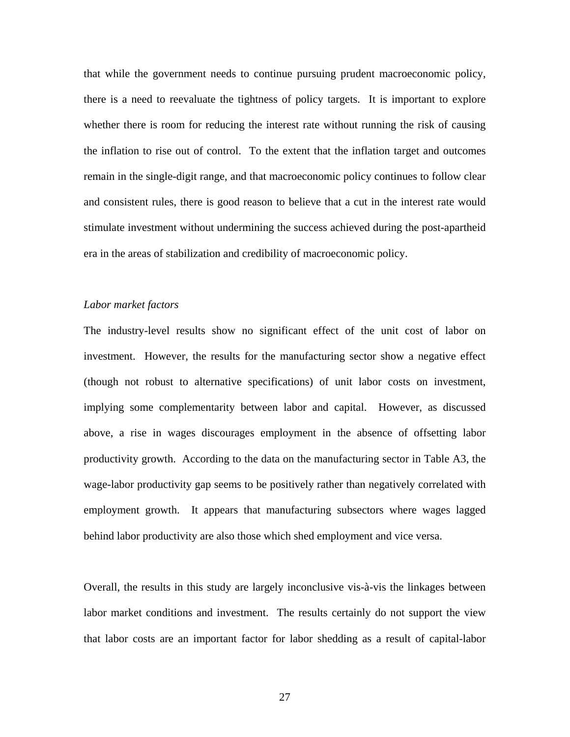that while the government needs to continue pursuing prudent macroeconomic policy, there is a need to reevaluate the tightness of policy targets. It is important to explore whether there is room for reducing the interest rate without running the risk of causing the inflation to rise out of control. To the extent that the inflation target and outcomes remain in the single-digit range, and that macroeconomic policy continues to follow clear and consistent rules, there is good reason to believe that a cut in the interest rate would stimulate investment without undermining the success achieved during the post-apartheid era in the areas of stabilization and credibility of macroeconomic policy.

#### *Labor market factors*

The industry-level results show no significant effect of the unit cost of labor on investment. However, the results for the manufacturing sector show a negative effect (though not robust to alternative specifications) of unit labor costs on investment, implying some complementarity between labor and capital. However, as discussed above, a rise in wages discourages employment in the absence of offsetting labor productivity growth. According to the data on the manufacturing sector in Table A3, the wage-labor productivity gap seems to be positively rather than negatively correlated with employment growth. It appears that manufacturing subsectors where wages lagged behind labor productivity are also those which shed employment and vice versa.

Overall, the results in this study are largely inconclusive vis-à-vis the linkages between labor market conditions and investment. The results certainly do not support the view that labor costs are an important factor for labor shedding as a result of capital-labor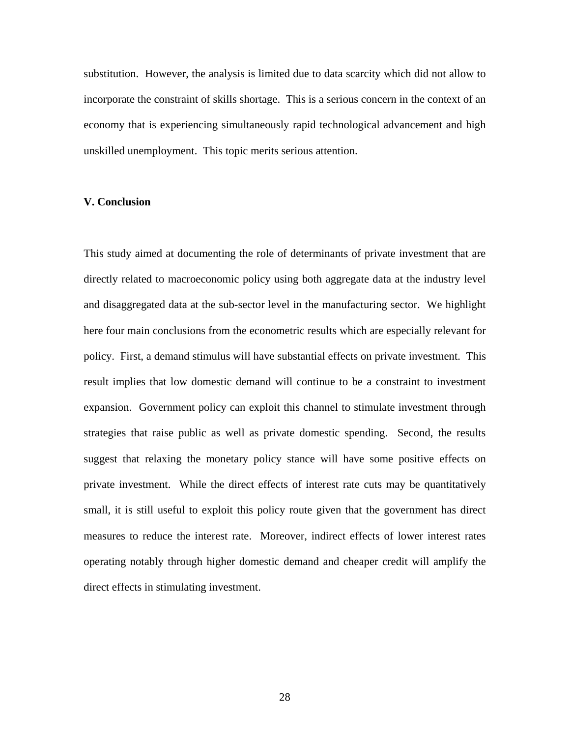substitution. However, the analysis is limited due to data scarcity which did not allow to incorporate the constraint of skills shortage. This is a serious concern in the context of an economy that is experiencing simultaneously rapid technological advancement and high unskilled unemployment. This topic merits serious attention.

#### **V. Conclusion**

This study aimed at documenting the role of determinants of private investment that are directly related to macroeconomic policy using both aggregate data at the industry level and disaggregated data at the sub-sector level in the manufacturing sector. We highlight here four main conclusions from the econometric results which are especially relevant for policy. First, a demand stimulus will have substantial effects on private investment. This result implies that low domestic demand will continue to be a constraint to investment expansion. Government policy can exploit this channel to stimulate investment through strategies that raise public as well as private domestic spending. Second, the results suggest that relaxing the monetary policy stance will have some positive effects on private investment. While the direct effects of interest rate cuts may be quantitatively small, it is still useful to exploit this policy route given that the government has direct measures to reduce the interest rate. Moreover, indirect effects of lower interest rates operating notably through higher domestic demand and cheaper credit will amplify the direct effects in stimulating investment.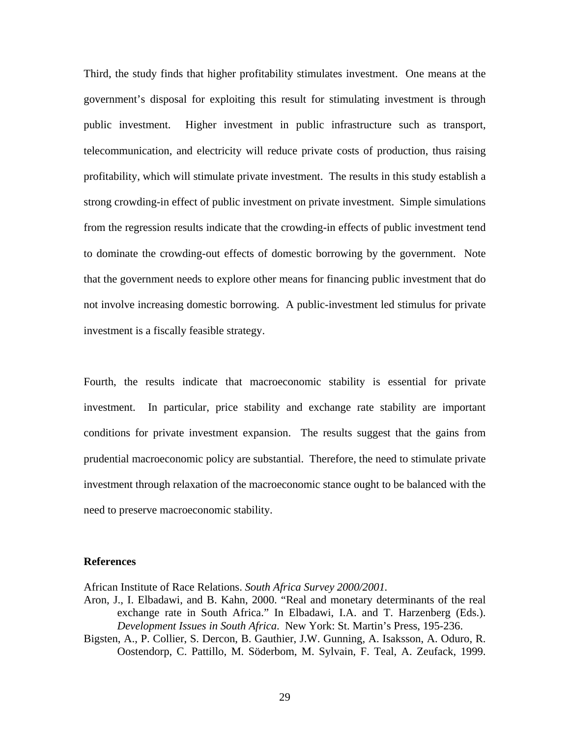Third, the study finds that higher profitability stimulates investment. One means at the government's disposal for exploiting this result for stimulating investment is through public investment. Higher investment in public infrastructure such as transport, telecommunication, and electricity will reduce private costs of production, thus raising profitability, which will stimulate private investment. The results in this study establish a strong crowding-in effect of public investment on private investment. Simple simulations from the regression results indicate that the crowding-in effects of public investment tend to dominate the crowding-out effects of domestic borrowing by the government. Note that the government needs to explore other means for financing public investment that do not involve increasing domestic borrowing. A public-investment led stimulus for private investment is a fiscally feasible strategy.

Fourth, the results indicate that macroeconomic stability is essential for private investment. In particular, price stability and exchange rate stability are important conditions for private investment expansion. The results suggest that the gains from prudential macroeconomic policy are substantial. Therefore, the need to stimulate private investment through relaxation of the macroeconomic stance ought to be balanced with the need to preserve macroeconomic stability.

#### **References**

African Institute of Race Relations. *South Africa Survey 2000/2001.* 

- Aron, J., I. Elbadawi, and B. Kahn, 2000. "Real and monetary determinants of the real exchange rate in South Africa." In Elbadawi, I.A. and T. Harzenberg (Eds.). *Development Issues in South Africa*. New York: St. Martin's Press, 195-236.
- Bigsten, A., P. Collier, S. Dercon, B. Gauthier, J.W. Gunning, A. Isaksson, A. Oduro, R. Oostendorp, C. Pattillo, M. Söderbom, M. Sylvain, F. Teal, A. Zeufack, 1999.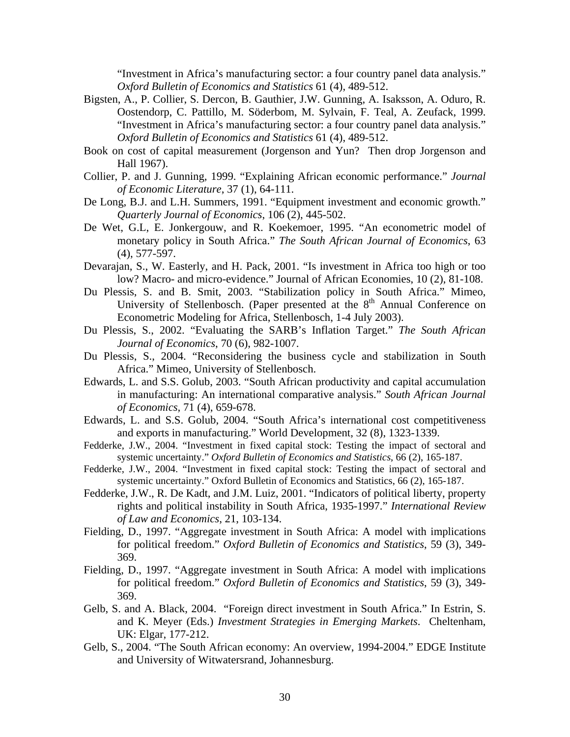"Investment in Africa's manufacturing sector: a four country panel data analysis." *Oxford Bulletin of Economics and Statistics* 61 (4), 489-512.

- Bigsten, A., P. Collier, S. Dercon, B. Gauthier, J.W. Gunning, A. Isaksson, A. Oduro, R. Oostendorp, C. Pattillo, M. Söderbom, M. Sylvain, F. Teal, A. Zeufack, 1999. "Investment in Africa's manufacturing sector: a four country panel data analysis." *Oxford Bulletin of Economics and Statistics* 61 (4), 489-512.
- Book on cost of capital measurement (Jorgenson and Yun? Then drop Jorgenson and Hall 1967).
- Collier, P. and J. Gunning, 1999. "Explaining African economic performance." *Journal of Economic Literature*, 37 (1), 64-111.
- De Long, B.J. and L.H. Summers, 1991. "Equipment investment and economic growth." *Quarterly Journal of Economics*, 106 (2), 445-502.
- De Wet, G.L, E. Jonkergouw, and R. Koekemoer, 1995. "An econometric model of monetary policy in South Africa." *The South African Journal of Economics*, 63 (4), 577-597.
- Devarajan, S., W. Easterly, and H. Pack, 2001. "Is investment in Africa too high or too low? Macro- and micro-evidence." Journal of African Economies, 10 (2), 81-108.
- Du Plessis, S. and B. Smit, 2003. "Stabilization policy in South Africa." Mimeo, University of Stellenbosch. (Paper presented at the  $8<sup>th</sup>$  Annual Conference on Econometric Modeling for Africa, Stellenbosch, 1-4 July 2003).
- Du Plessis, S., 2002. "Evaluating the SARB's Inflation Target." *The South African Journal of Economics*, 70 (6), 982-1007.
- Du Plessis, S., 2004. "Reconsidering the business cycle and stabilization in South Africa." Mimeo, University of Stellenbosch.
- Edwards, L. and S.S. Golub, 2003. "South African productivity and capital accumulation in manufacturing: An international comparative analysis." *South African Journal of Economics,* 71 (4), 659-678.
- Edwards, L. and S.S. Golub, 2004. "South Africa's international cost competitiveness and exports in manufacturing." World Development, 32 (8), 1323-1339.
- Fedderke, J.W., 2004. "Investment in fixed capital stock: Testing the impact of sectoral and systemic uncertainty." *Oxford Bulletin of Economics and Statistics*, 66 (2), 165-187.
- Fedderke, J.W., 2004. "Investment in fixed capital stock: Testing the impact of sectoral and systemic uncertainty." Oxford Bulletin of Economics and Statistics, 66 (2), 165-187.
- Fedderke, J.W., R. De Kadt, and J.M. Luiz, 2001. "Indicators of political liberty, property rights and political instability in South Africa, 1935-1997." *International Review of Law and Economics*, 21, 103-134.
- Fielding, D., 1997. "Aggregate investment in South Africa: A model with implications for political freedom." *Oxford Bulletin of Economics and Statistics*, 59 (3), 349- 369.
- Fielding, D., 1997. "Aggregate investment in South Africa: A model with implications for political freedom." *Oxford Bulletin of Economics and Statistics*, 59 (3), 349- 369.
- Gelb, S. and A. Black, 2004. "Foreign direct investment in South Africa." In Estrin, S. and K. Meyer (Eds.) *Investment Strategies in Emerging Markets*. Cheltenham, UK: Elgar, 177-212.
- Gelb, S., 2004. "The South African economy: An overview, 1994-2004." EDGE Institute and University of Witwatersrand, Johannesburg.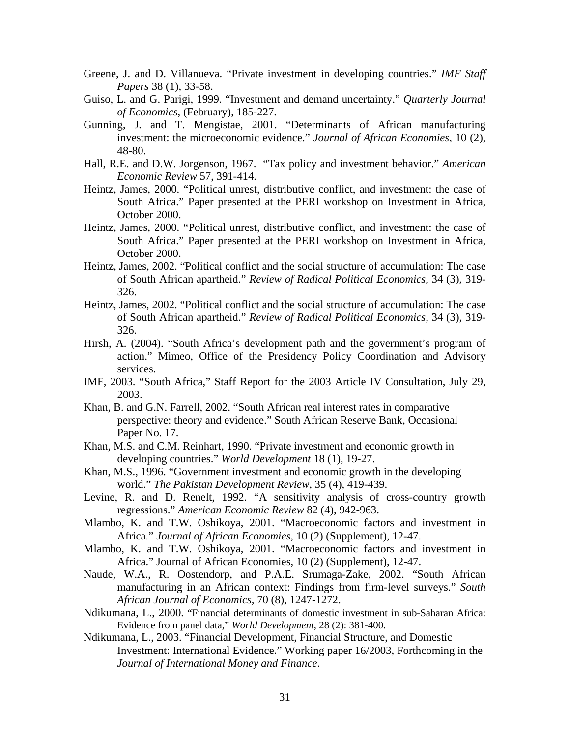- Greene, J. and D. Villanueva. "Private investment in developing countries." *IMF Staff Papers* 38 (1), 33-58.
- Guiso, L. and G. Parigi, 1999. "Investment and demand uncertainty." *Quarterly Journal of Economics*, (February), 185-227.
- Gunning, J. and T. Mengistae, 2001. "Determinants of African manufacturing investment: the microeconomic evidence." *Journal of African Economies*, 10 (2), 48-80.
- Hall, R.E. and D.W. Jorgenson, 1967. "Tax policy and investment behavior." *American Economic Review* 57, 391-414.
- Heintz, James, 2000. "Political unrest, distributive conflict, and investment: the case of South Africa." Paper presented at the PERI workshop on Investment in Africa, October 2000.
- Heintz, James, 2000. "Political unrest, distributive conflict, and investment: the case of South Africa." Paper presented at the PERI workshop on Investment in Africa, October 2000.
- Heintz, James, 2002. "Political conflict and the social structure of accumulation: The case of South African apartheid." *Review of Radical Political Economics*, 34 (3), 319- 326.
- Heintz, James, 2002. "Political conflict and the social structure of accumulation: The case of South African apartheid." *Review of Radical Political Economics*, 34 (3), 319- 326.
- Hirsh, A. (2004). "South Africa's development path and the government's program of action." Mimeo, Office of the Presidency Policy Coordination and Advisory services.
- IMF, 2003. "South Africa," Staff Report for the 2003 Article IV Consultation, July 29, 2003.
- Khan, B. and G.N. Farrell, 2002. "South African real interest rates in comparative perspective: theory and evidence." South African Reserve Bank, Occasional Paper No. 17.
- Khan, M.S. and C.M. Reinhart, 1990. "Private investment and economic growth in developing countries." *World Development* 18 (1), 19-27.
- Khan, M.S., 1996. "Government investment and economic growth in the developing world." *The Pakistan Development Review*, 35 (4), 419-439.
- Levine, R. and D. Renelt, 1992. "A sensitivity analysis of cross-country growth regressions." *American Economic Review* 82 (4), 942-963.
- Mlambo, K. and T.W. Oshikoya, 2001. "Macroeconomic factors and investment in Africa." *Journal of African Economies*, 10 (2) (Supplement), 12-47.
- Mlambo, K. and T.W. Oshikoya, 2001. "Macroeconomic factors and investment in Africa." Journal of African Economies, 10 (2) (Supplement), 12-47.
- Naude, W.A., R. Oostendorp, and P.A.E. Srumaga-Zake, 2002. "South African manufacturing in an African context: Findings from firm-level surveys." *South African Journal of Economics,* 70 (8), 1247-1272.
- Ndikumana, L., 2000. "Financial determinants of domestic investment in sub-Saharan Africa: Evidence from panel data," *World Development*, 28 (2): 381-400.
- Ndikumana, L., 2003. "Financial Development, Financial Structure, and Domestic Investment: International Evidence." Working paper 16/2003, Forthcoming in the *Journal of International Money and Finance*.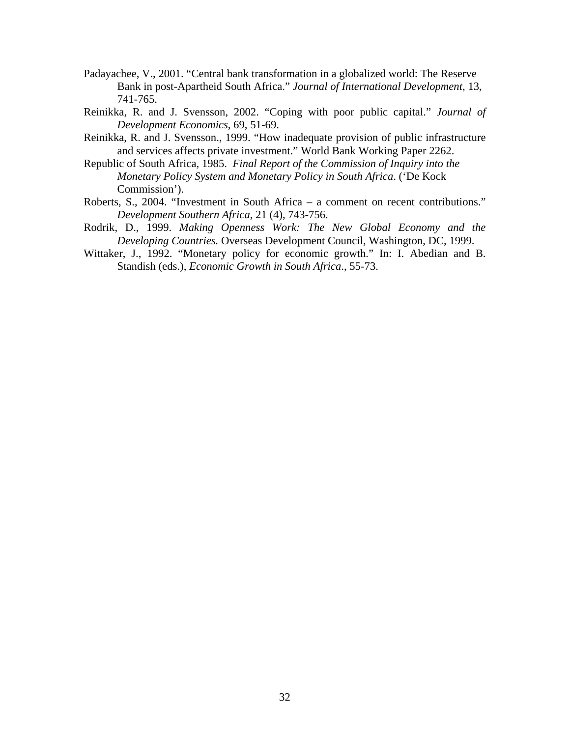- Padayachee, V., 2001. "Central bank transformation in a globalized world: The Reserve Bank in post-Apartheid South Africa." *Journal of International Development*, 13, 741-765.
- Reinikka, R. and J. Svensson, 2002. "Coping with poor public capital." *Journal of Development Economics*, 69, 51-69.
- Reinikka, R. and J. Svensson., 1999. "How inadequate provision of public infrastructure and services affects private investment." World Bank Working Paper 2262.
- Republic of South Africa, 1985. *Final Report of the Commission of Inquiry into the Monetary Policy System and Monetary Policy in South Africa*. ('De Kock Commission').
- Roberts, S., 2004. "Investment in South Africa a comment on recent contributions." *Development Southern Africa*, 21 (4), 743-756.
- Rodrik, D., 1999. *Making Openness Work: The New Global Economy and the Developing Countries.* Overseas Development Council, Washington, DC, 1999.
- Wittaker, J., 1992. "Monetary policy for economic growth." In: I. Abedian and B. Standish (eds.), *Economic Growth in South Africa*., 55-73.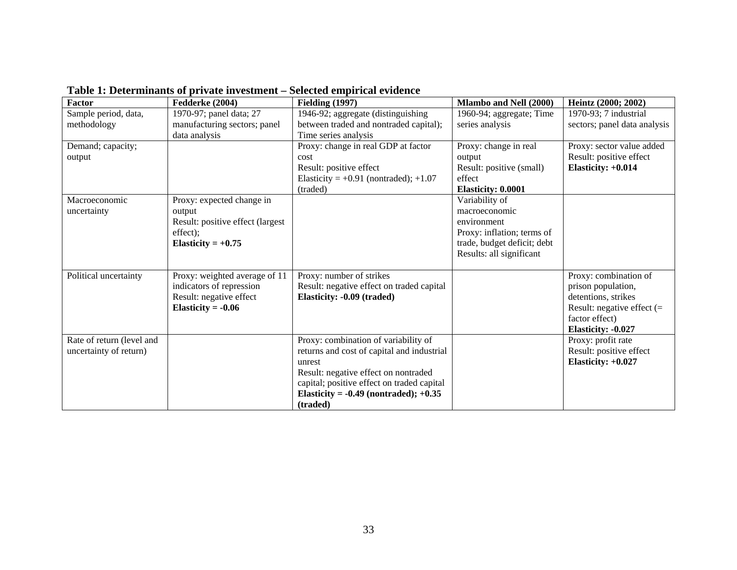|                           | гаэк 1: Determinancs ог регуательности | beletten empiritan evidence                |                             |                              |
|---------------------------|----------------------------------------|--------------------------------------------|-----------------------------|------------------------------|
| Factor                    | Fedderke (2004)                        | <b>Fielding (1997)</b>                     | Mlambo and Nell (2000)      | Heintz (2000; 2002)          |
| Sample period, data,      | 1970-97; panel data; 27                | 1946-92; aggregate (distinguishing         | 1960-94; aggregate; Time    | 1970-93; 7 industrial        |
| methodology               | manufacturing sectors; panel           | between traded and nontraded capital);     | series analysis             | sectors; panel data analysis |
|                           | data analysis                          | Time series analysis                       |                             |                              |
| Demand; capacity;         |                                        | Proxy: change in real GDP at factor        | Proxy: change in real       | Proxy: sector value added    |
| output                    |                                        | cost                                       | output                      | Result: positive effect      |
|                           |                                        | Result: positive effect                    | Result: positive (small)    | Elasticity: $+0.014$         |
|                           |                                        | Elasticity = $+0.91$ (nontraded); $+1.07$  | effect                      |                              |
|                           |                                        | (traded)                                   | Elasticity: 0.0001          |                              |
| Macroeconomic             | Proxy: expected change in              |                                            | Variability of              |                              |
| uncertainty               | output                                 |                                            | macroeconomic               |                              |
|                           | Result: positive effect (largest       |                                            | environment                 |                              |
|                           | effect);                               |                                            | Proxy: inflation; terms of  |                              |
|                           | Elasticity = $+0.75$                   |                                            | trade, budget deficit; debt |                              |
|                           |                                        |                                            | Results: all significant    |                              |
|                           |                                        |                                            |                             |                              |
| Political uncertainty     | Proxy: weighted average of 11          | Proxy: number of strikes                   |                             | Proxy: combination of        |
|                           | indicators of repression               | Result: negative effect on traded capital  |                             | prison population,           |
|                           | Result: negative effect                | Elasticity: -0.09 (traded)                 |                             | detentions, strikes          |
|                           | Elasticity = $-0.06$                   |                                            |                             | Result: negative effect $(=$ |
|                           |                                        |                                            |                             | factor effect)               |
|                           |                                        |                                            |                             | Elasticity: -0.027           |
| Rate of return (level and |                                        | Proxy: combination of variability of       |                             | Proxy: profit rate           |
| uncertainty of return)    |                                        | returns and cost of capital and industrial |                             | Result: positive effect      |
|                           |                                        | unrest                                     |                             | Elasticity: +0.027           |
|                           |                                        | Result: negative effect on nontraded       |                             |                              |
|                           |                                        | capital; positive effect on traded capital |                             |                              |
|                           |                                        | Elasticity = $-0.49$ (nontraded); $+0.35$  |                             |                              |
|                           |                                        | (traded)                                   |                             |                              |

**Table 1: Determinants of private investment – Selected empirical evidence**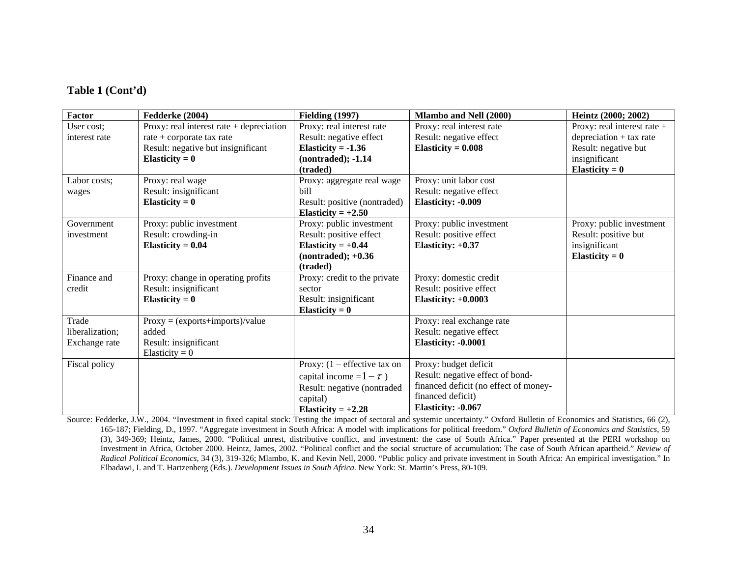#### **Table 1 (Cont'd)**

| <b>Factor</b>   | Fedderke (2004)                            | <b>Fielding (1997)</b>         | <b>Mlambo and Nell (2000)</b>         | Heintz (2000; 2002)           |
|-----------------|--------------------------------------------|--------------------------------|---------------------------------------|-------------------------------|
| User cost:      | Proxy: real interest rate $+$ depreciation | Proxy: real interest rate      | Proxy: real interest rate             | Proxy: real interest rate $+$ |
| interest rate   | rate + corporate tax rate                  | Result: negative effect        | Result: negative effect               | $deprecision + tax rate$      |
|                 | Result: negative but insignificant         | Elasticity = $-1.36$           | Elasticity = $0.008$                  | Result: negative but          |
|                 | Elasticity = $0$                           | $(nontracted); -1.14$          |                                       | insignificant                 |
|                 |                                            | (traded)                       |                                       | Elasticity = $0$              |
| Labor costs;    | Proxy: real wage                           | Proxy: aggregate real wage     | Proxy: unit labor cost                |                               |
| wages           | Result: insignificant                      | bill                           | Result: negative effect               |                               |
|                 | Elasticity = $0$                           | Result: positive (nontraded)   | Elasticity: -0.009                    |                               |
|                 |                                            | Elasticity = $+2.50$           |                                       |                               |
| Government      | Proxy: public investment                   | Proxy: public investment       | Proxy: public investment              | Proxy: public investment      |
| investment      | Result: crowding-in                        | Result: positive effect        | Result: positive effect               | Result: positive but          |
|                 | Elasticity = $0.04$                        | Elasticity = $+0.44$           | Elasticity: $+0.37$                   | insignificant                 |
|                 |                                            | $(nontracted); +0.36$          |                                       | Elasticity = $0$              |
|                 |                                            | (traded)                       |                                       |                               |
| Finance and     | Proxy: change in operating profits         | Proxy: credit to the private   | Proxy: domestic credit                |                               |
| credit          | Result: insignificant                      | sector                         | Result: positive effect               |                               |
|                 | Elasticity = $0$                           | Result: insignificant          | Elasticity: $+0.0003$                 |                               |
|                 |                                            | Elasticity = $0$               |                                       |                               |
| Trade           | $Proxy = (exports+imports)/value$          |                                | Proxy: real exchange rate             |                               |
| liberalization; | added                                      |                                | Result: negative effect               |                               |
| Exchange rate   | Result: insignificant                      |                                | Elasticity: -0.0001                   |                               |
|                 | Elasticity = $0$                           |                                |                                       |                               |
| Fiscal policy   |                                            | Proxy: $(1 -$ effective tax on | Proxy: budget deficit                 |                               |
|                 |                                            | capital income = $1 - \tau$ )  | Result: negative effect of bond-      |                               |
|                 |                                            | Result: negative (nontraded    | financed deficit (no effect of money- |                               |
|                 |                                            | capital)                       | financed deficit)                     |                               |
|                 |                                            | Elasticity = $+2.28$           | Elasticity: -0.067                    |                               |

Source: Fedderke, J.W., 2004. "Investment in fixed capital stock: Testing the impact of sectoral and systemic uncertainty." Oxford Bulletin of Economics and Statistics, 66 (2), 165-187; Fielding, D., 1997. "Aggregate investment in South Africa: A model with implications for political freedom." *Oxford Bulletin of Economics and Statistics*, 59 (3), 349-369; Heintz, James, 2000. "Political unrest, distributive conflict, and investment: the case of South Africa." Paper presented at the PERI workshop on Investment in Africa, October 2000. Heintz, James, 2002. "Political conflict and the social structure of accumulation: The case of South African apartheid." *Review of Radical Political Economics*, 34 (3), 319-326; Mlambo, K. and Kevin Nell, 2000. "Public policy and private investment in South Africa: An empirical investigation." In Elbadawi, I. and T. Hartzenberg (Eds.). *Development Issues in South Africa*. New York: St. Martin's Press, 80-109.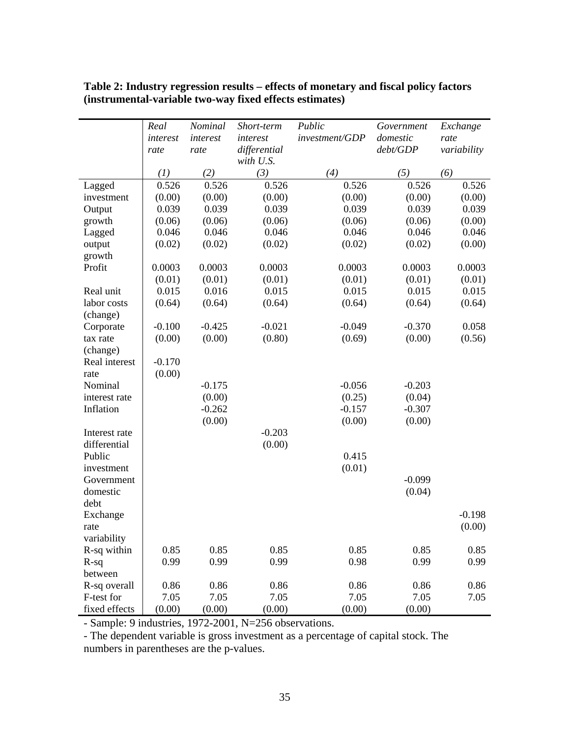|               | Real     | Nominal  | Short-term   | Public         | Government | Exchange    |
|---------------|----------|----------|--------------|----------------|------------|-------------|
|               | interest | interest | interest     | investment/GDP | domestic   | rate        |
|               | rate     | rate     | differential |                | debt/GDP   | variability |
|               |          |          | with U.S.    |                |            |             |
|               | (1)      | (2)      | (3)          | (4)            | (5)        | (6)         |
| Lagged        | 0.526    | 0.526    | 0.526        | 0.526          | 0.526      | 0.526       |
| investment    | (0.00)   | (0.00)   | (0.00)       | (0.00)         | (0.00)     | (0.00)      |
| Output        | 0.039    | 0.039    | 0.039        | 0.039          | 0.039      | 0.039       |
| growth        | (0.06)   | (0.06)   | (0.06)       | (0.06)         | (0.06)     | (0.00)      |
| Lagged        | 0.046    | 0.046    | 0.046        | 0.046          | 0.046      | 0.046       |
| output        | (0.02)   | (0.02)   | (0.02)       | (0.02)         | (0.02)     | (0.00)      |
| growth        |          |          |              |                |            |             |
| Profit        | 0.0003   | 0.0003   | 0.0003       | 0.0003         | 0.0003     | 0.0003      |
|               | (0.01)   | (0.01)   | (0.01)       | (0.01)         | (0.01)     | (0.01)      |
| Real unit     | 0.015    | 0.016    | 0.015        | 0.015          | 0.015      | 0.015       |
| labor costs   | (0.64)   | (0.64)   | (0.64)       | (0.64)         | (0.64)     | (0.64)      |
| (change)      |          |          |              |                |            |             |
| Corporate     | $-0.100$ | $-0.425$ | $-0.021$     | $-0.049$       | $-0.370$   | 0.058       |
| tax rate      | (0.00)   | (0.00)   | (0.80)       | (0.69)         | (0.00)     | (0.56)      |
| (change)      |          |          |              |                |            |             |
| Real interest | $-0.170$ |          |              |                |            |             |
| rate          | (0.00)   |          |              |                |            |             |
| Nominal       |          | $-0.175$ |              | $-0.056$       | $-0.203$   |             |
| interest rate |          | (0.00)   |              | (0.25)         | (0.04)     |             |
| Inflation     |          | $-0.262$ |              | $-0.157$       | $-0.307$   |             |
|               |          | (0.00)   |              | (0.00)         | (0.00)     |             |
| Interest rate |          |          | $-0.203$     |                |            |             |
| differential  |          |          | (0.00)       |                |            |             |
| Public        |          |          |              | 0.415          |            |             |
| investment    |          |          |              | (0.01)         |            |             |
| Government    |          |          |              |                | $-0.099$   |             |
| domestic      |          |          |              |                | (0.04)     |             |
| debt          |          |          |              |                |            |             |
| Exchange      |          |          |              |                |            | $-0.198$    |
| rate          |          |          |              |                |            | (0.00)      |
| variability   |          |          |              |                |            |             |
| R-sq within   | 0.85     | 0.85     | 0.85         | 0.85           | 0.85       | 0.85        |
| $R-sq$        | 0.99     | 0.99     | 0.99         | 0.98           | 0.99       | 0.99        |
| between       |          |          |              |                |            |             |
| R-sq overall  | 0.86     | 0.86     | 0.86         | 0.86           | 0.86       | 0.86        |
| F-test for    | 7.05     | 7.05     | 7.05         | 7.05           | 7.05       | 7.05        |
| fixed effects | (0.00)   | (0.00)   | (0.00)       | (0.00)         | (0.00)     |             |

| Table 2: Industry regression results – effects of monetary and fiscal policy factors |
|--------------------------------------------------------------------------------------|
| (instrumental-variable two-way fixed effects estimates)                              |

- Sample: 9 industries, 1972-2001, N=256 observations.

- The dependent variable is gross investment as a percentage of capital stock. The numbers in parentheses are the p-values.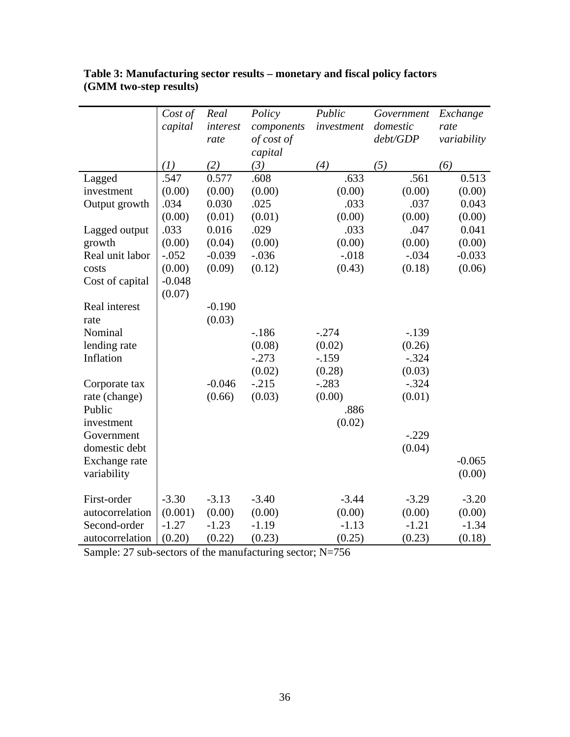|                 | Cost of<br>capital | Real<br>interest<br>rate | Policy<br>components<br>of cost of | Public<br>investment | Government<br>domestic<br>debt/GDP | Exchange<br>rate<br>variability |
|-----------------|--------------------|--------------------------|------------------------------------|----------------------|------------------------------------|---------------------------------|
|                 |                    |                          | capital                            |                      |                                    |                                 |
|                 | (I)                | (2)                      | (3)                                | (4)                  | (5)                                | (6)                             |
| Lagged          | .547               | 0.577                    | .608                               | .633                 | .561                               | 0.513                           |
| investment      | (0.00)             | (0.00)                   | (0.00)                             | (0.00)               | (0.00)                             | (0.00)                          |
| Output growth   | .034               | 0.030                    | .025                               | .033                 | .037                               | 0.043                           |
|                 | (0.00)             | (0.01)                   | (0.01)                             | (0.00)               | (0.00)                             | (0.00)                          |
| Lagged output   | .033               | 0.016                    | .029                               | .033                 | .047                               | 0.041                           |
| growth          | (0.00)             | (0.04)                   | (0.00)                             | (0.00)               | (0.00)                             | (0.00)                          |
| Real unit labor | $-.052$            | $-0.039$                 | $-.036$                            | $-.018$              | $-.034$                            | $-0.033$                        |
| costs           | (0.00)             | (0.09)                   | (0.12)                             | (0.43)               | (0.18)                             | (0.06)                          |
| Cost of capital | $-0.048$           |                          |                                    |                      |                                    |                                 |
|                 | (0.07)             |                          |                                    |                      |                                    |                                 |
| Real interest   |                    | $-0.190$                 |                                    |                      |                                    |                                 |
| rate            |                    | (0.03)                   |                                    |                      |                                    |                                 |
| Nominal         |                    |                          | $-.186$                            | $-.274$              | $-.139$                            |                                 |
| lending rate    |                    |                          | (0.08)                             | (0.02)               | (0.26)                             |                                 |
| Inflation       |                    |                          | $-.273$                            | $-.159$              | $-.324$                            |                                 |
|                 |                    |                          | (0.02)                             | (0.28)               | (0.03)                             |                                 |
| Corporate tax   |                    | $-0.046$                 | $-.215$                            | $-.283$              | $-.324$                            |                                 |
| rate (change)   |                    | (0.66)                   | (0.03)                             | (0.00)               | (0.01)                             |                                 |
| Public          |                    |                          |                                    | .886                 |                                    |                                 |
| investment      |                    |                          |                                    | (0.02)               |                                    |                                 |
| Government      |                    |                          |                                    |                      | $-.229$                            |                                 |
| domestic debt   |                    |                          |                                    |                      | (0.04)                             |                                 |
| Exchange rate   |                    |                          |                                    |                      |                                    | $-0.065$                        |
| variability     |                    |                          |                                    |                      |                                    | (0.00)                          |
| First-order     | $-3.30$            | $-3.13$                  | $-3.40$                            | $-3.44$              | $-3.29$                            | $-3.20$                         |
| autocorrelation | (0.001)            | (0.00)                   | (0.00)                             | (0.00)               | (0.00)                             | (0.00)                          |
| Second-order    | $-1.27$            | $-1.23$                  | $-1.19$                            | $-1.13$              | $-1.21$                            | $-1.34$                         |
| autocorrelation | (0.20)             | (0.22)                   | (0.23)                             | (0.25)               | (0.23)                             | (0.18)                          |

#### **Table 3: Manufacturing sector results – monetary and fiscal policy factors (GMM two-step results)**

Sample: 27 sub-sectors of the manufacturing sector; N=756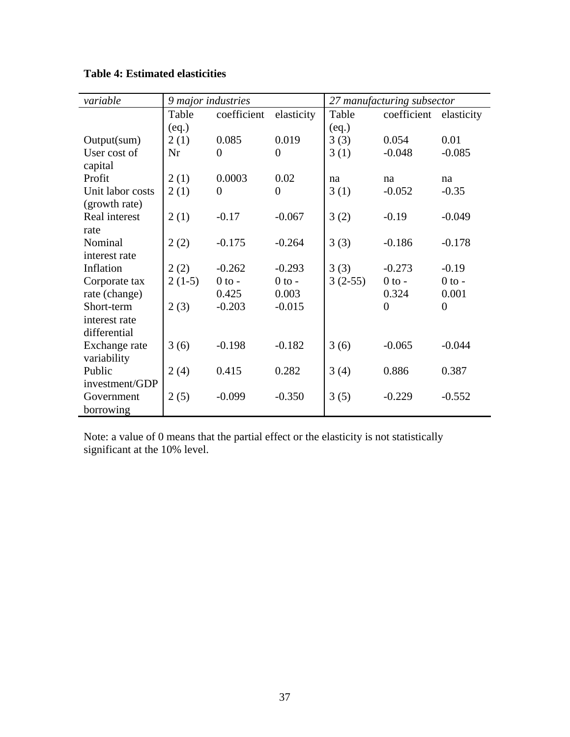| variable         | 9 major industries |             |                |           | 27 manufacturing subsector |                  |
|------------------|--------------------|-------------|----------------|-----------|----------------------------|------------------|
|                  | Table              | coefficient | elasticity     | Table     | coefficient                | elasticity       |
|                  | (eq.)              |             |                | (eq.)     |                            |                  |
| Output(sum)      | 2(1)               | 0.085       | 0.019          | 3(3)      | 0.054                      | 0.01             |
| User cost of     | Nr                 | 0           | $\overline{0}$ | 3(1)      | $-0.048$                   | $-0.085$         |
| capital          |                    |             |                |           |                            |                  |
| Profit           | 2(1)               | 0.0003      | 0.02           | na        | na                         | na               |
| Unit labor costs | 2(1)               | $\Omega$    | $\overline{0}$ | 3(1)      | $-0.052$                   | $-0.35$          |
| (growth rate)    |                    |             |                |           |                            |                  |
| Real interest    | 2(1)               | $-0.17$     | $-0.067$       | 3(2)      | $-0.19$                    | $-0.049$         |
| rate             |                    |             |                |           |                            |                  |
| Nominal          | 2(2)               | $-0.175$    | $-0.264$       | 3(3)      | $-0.186$                   | $-0.178$         |
| interest rate    |                    |             |                |           |                            |                  |
| Inflation        | 2(2)               | $-0.262$    | $-0.293$       | 3(3)      | $-0.273$                   | $-0.19$          |
| Corporate tax    | $2(1-5)$           | $0$ to $-$  | $0$ to $-$     | $3(2-55)$ | $0$ to -                   | $0$ to $-$       |
| rate (change)    |                    | 0.425       | 0.003          |           | 0.324                      | 0.001            |
| Short-term       | 2(3)               | $-0.203$    | $-0.015$       |           | $\overline{0}$             | $\boldsymbol{0}$ |
| interest rate    |                    |             |                |           |                            |                  |
| differential     |                    |             |                |           |                            |                  |
| Exchange rate    | 3(6)               | $-0.198$    | $-0.182$       | 3(6)      | $-0.065$                   | $-0.044$         |
| variability      |                    |             |                |           |                            |                  |
| Public           | 2(4)               | 0.415       | 0.282          | 3(4)      | 0.886                      | 0.387            |
| investment/GDP   |                    |             |                |           |                            |                  |
| Government       | 2(5)               | $-0.099$    | $-0.350$       | 3(5)      | $-0.229$                   | $-0.552$         |
| borrowing        |                    |             |                |           |                            |                  |

**Table 4: Estimated elasticities** 

Note: a value of 0 means that the partial effect or the elasticity is not statistically significant at the 10% level.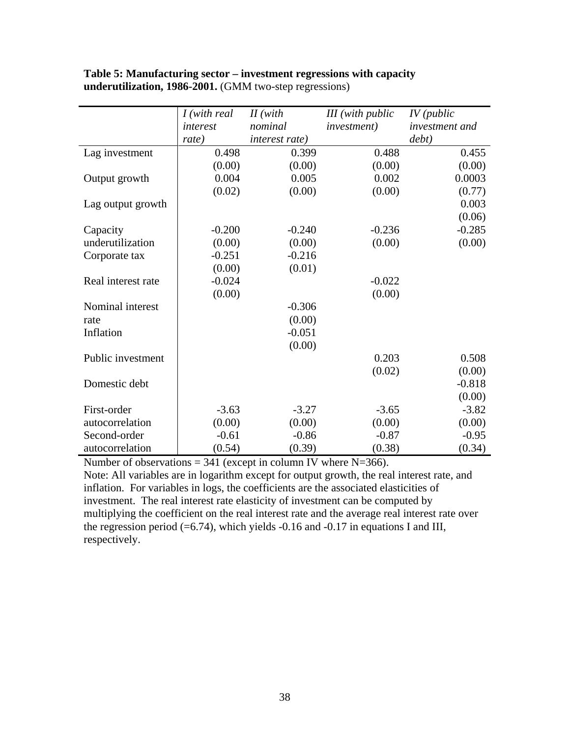|                    | I (with real)<br>interest | $II$ (with<br>nominal | <b>III</b> (with public<br><i>investment</i> ) | $IV$ (public<br>investment and |
|--------------------|---------------------------|-----------------------|------------------------------------------------|--------------------------------|
|                    | rate)                     | interest rate)        |                                                | debt)                          |
| Lag investment     | 0.498                     | 0.399                 | 0.488                                          | 0.455                          |
|                    | (0.00)                    | (0.00)                | (0.00)                                         | (0.00)                         |
| Output growth      | 0.004                     | 0.005                 | 0.002                                          | 0.0003                         |
|                    | (0.02)                    | (0.00)                | (0.00)                                         | (0.77)                         |
| Lag output growth  |                           |                       |                                                | 0.003                          |
|                    |                           |                       |                                                | (0.06)                         |
| Capacity           | $-0.200$                  | $-0.240$              | $-0.236$                                       | $-0.285$                       |
| underutilization   | (0.00)                    | (0.00)                | (0.00)                                         | (0.00)                         |
| Corporate tax      | $-0.251$                  | $-0.216$              |                                                |                                |
|                    | (0.00)                    | (0.01)                |                                                |                                |
| Real interest rate | $-0.024$                  |                       | $-0.022$                                       |                                |
|                    | (0.00)                    |                       | (0.00)                                         |                                |
| Nominal interest   |                           | $-0.306$              |                                                |                                |
| rate               |                           | (0.00)                |                                                |                                |
| Inflation          |                           | $-0.051$              |                                                |                                |
|                    |                           | (0.00)                |                                                |                                |
| Public investment  |                           |                       | 0.203                                          | 0.508                          |
|                    |                           |                       | (0.02)                                         | (0.00)                         |
| Domestic debt      |                           |                       |                                                | $-0.818$                       |
|                    |                           |                       |                                                | (0.00)                         |
| First-order        | $-3.63$                   | $-3.27$               | $-3.65$                                        | $-3.82$                        |
| autocorrelation    | (0.00)                    | (0.00)                | (0.00)                                         | (0.00)                         |
| Second-order       | $-0.61$                   | $-0.86$               | $-0.87$                                        | $-0.95$                        |
| autocorrelation    | (0.54)                    | (0.39)                | (0.38)                                         | (0.34)                         |

#### **Table 5: Manufacturing sector – investment regressions with capacity underutilization, 1986-2001.** (GMM two-step regressions)

Number of observations  $= 341$  (except in column IV where N=366). Note: All variables are in logarithm except for output growth, the real interest rate, and inflation. For variables in logs, the coefficients are the associated elasticities of investment. The real interest rate elasticity of investment can be computed by multiplying the coefficient on the real interest rate and the average real interest rate over the regression period  $(=6.74)$ , which yields -0.16 and -0.17 in equations I and III, respectively.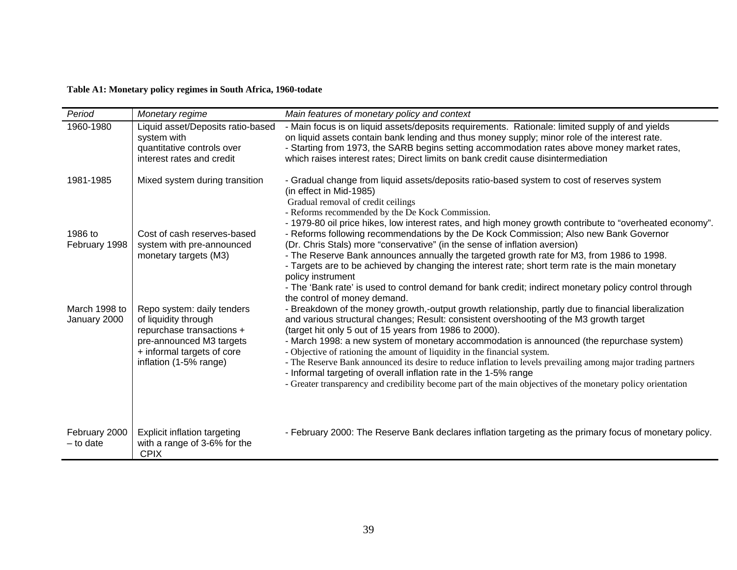#### **Table A1: Monetary policy regimes in South Africa, 1960-todate**

| Period                        | Monetary regime                                                                                             | Main features of monetary policy and context                                                                                                                                                                                                                                                                                                                                          |
|-------------------------------|-------------------------------------------------------------------------------------------------------------|---------------------------------------------------------------------------------------------------------------------------------------------------------------------------------------------------------------------------------------------------------------------------------------------------------------------------------------------------------------------------------------|
| 1960-1980                     | Liquid asset/Deposits ratio-based<br>system with<br>quantitative controls over                              | - Main focus is on liquid assets/deposits requirements. Rationale: limited supply of and yields<br>on liquid assets contain bank lending and thus money supply; minor role of the interest rate.<br>- Starting from 1973, the SARB begins setting accommodation rates above money market rates,                                                                                       |
|                               | interest rates and credit                                                                                   | which raises interest rates; Direct limits on bank credit cause disintermediation                                                                                                                                                                                                                                                                                                     |
| 1981-1985                     | Mixed system during transition                                                                              | - Gradual change from liquid assets/deposits ratio-based system to cost of reserves system<br>(in effect in Mid-1985)<br>Gradual removal of credit ceilings<br>- Reforms recommended by the De Kock Commission.                                                                                                                                                                       |
| 1986 to<br>February 1998      | Cost of cash reserves-based<br>system with pre-announced                                                    | - 1979-80 oil price hikes, low interest rates, and high money growth contribute to "overheated economy".<br>- Reforms following recommendations by the De Kock Commission; Also new Bank Governor<br>(Dr. Chris Stals) more "conservative" (in the sense of inflation aversion)                                                                                                       |
|                               | monetary targets (M3)                                                                                       | - The Reserve Bank announces annually the targeted growth rate for M3, from 1986 to 1998.<br>- Targets are to be achieved by changing the interest rate; short term rate is the main monetary<br>policy instrument<br>- The 'Bank rate' is used to control demand for bank credit; indirect monetary policy control through                                                           |
| March 1998 to<br>January 2000 | Repo system: daily tenders<br>of liquidity through<br>repurchase transactions +<br>pre-announced M3 targets | the control of money demand.<br>- Breakdown of the money growth,-output growth relationship, partly due to financial liberalization<br>and various structural changes; Result: consistent overshooting of the M3 growth target<br>(target hit only 5 out of 15 years from 1986 to 2000).<br>- March 1998: a new system of monetary accommodation is announced (the repurchase system) |
|                               | + informal targets of core<br>inflation (1-5% range)                                                        | - Objective of rationing the amount of liquidity in the financial system.<br>- The Reserve Bank announced its desire to reduce inflation to levels prevailing among major trading partners<br>- Informal targeting of overall inflation rate in the 1-5% range<br>- Greater transparency and credibility become part of the main objectives of the monetary policy orientation        |
|                               |                                                                                                             |                                                                                                                                                                                                                                                                                                                                                                                       |
| February 2000<br>$-$ to date  | Explicit inflation targeting<br>with a range of 3-6% for the<br><b>CPIX</b>                                 | - February 2000: The Reserve Bank declares inflation targeting as the primary focus of monetary policy.                                                                                                                                                                                                                                                                               |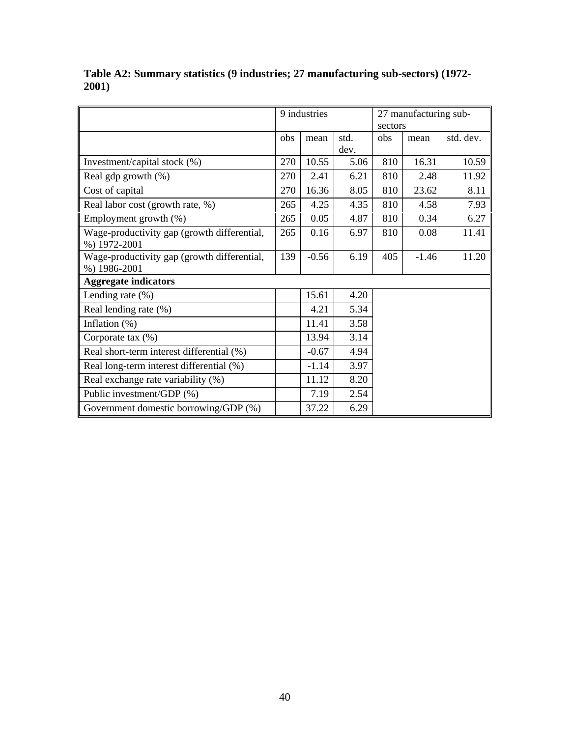|                                             | 9 industries |         |      | 27 manufacturing sub- |         |           |
|---------------------------------------------|--------------|---------|------|-----------------------|---------|-----------|
|                                             |              |         |      | sectors               |         |           |
|                                             | obs          | mean    | std. | obs                   | mean    | std. dev. |
|                                             |              |         | dev. |                       |         |           |
| Investment/capital stock (%)                | 270          | 10.55   | 5.06 | 810                   | 16.31   | 10.59     |
| Real gdp growth $(\%)$                      | 270          | 2.41    | 6.21 | 810                   | 2.48    | 11.92     |
| Cost of capital                             | 270          | 16.36   | 8.05 | 810                   | 23.62   | 8.11      |
| Real labor cost (growth rate, %)            | 265          | 4.25    | 4.35 | 810                   | 4.58    | 7.93      |
| Employment growth (%)                       | 265          | 0.05    | 4.87 | 810                   | 0.34    | 6.27      |
| Wage-productivity gap (growth differential, | 265          | 0.16    | 6.97 | 810                   | 0.08    | 11.41     |
| %) 1972-2001                                |              |         |      |                       |         |           |
| Wage-productivity gap (growth differential, | 139          | $-0.56$ | 6.19 | 405                   | $-1.46$ | 11.20     |
| %) 1986-2001                                |              |         |      |                       |         |           |
| <b>Aggregate indicators</b>                 |              |         |      |                       |         |           |
| Lending rate $(\%)$                         |              | 15.61   | 4.20 |                       |         |           |
| Real lending rate (%)                       |              | 4.21    | 5.34 |                       |         |           |
| Inflation $(\%)$                            |              | 11.41   | 3.58 |                       |         |           |
| Corporate tax $(\%)$                        |              | 13.94   | 3.14 |                       |         |           |
| Real short-term interest differential (%)   |              | $-0.67$ | 4.94 |                       |         |           |
| Real long-term interest differential (%)    |              | $-1.14$ | 3.97 |                       |         |           |
| Real exchange rate variability (%)          |              | 11.12   | 8.20 |                       |         |           |
| Public investment/GDP (%)                   |              | 7.19    | 2.54 |                       |         |           |
| Government domestic borrowing/GDP (%)       |              | 37.22   | 6.29 |                       |         |           |

**Table A2: Summary statistics (9 industries; 27 manufacturing sub-sectors) (1972- 2001)**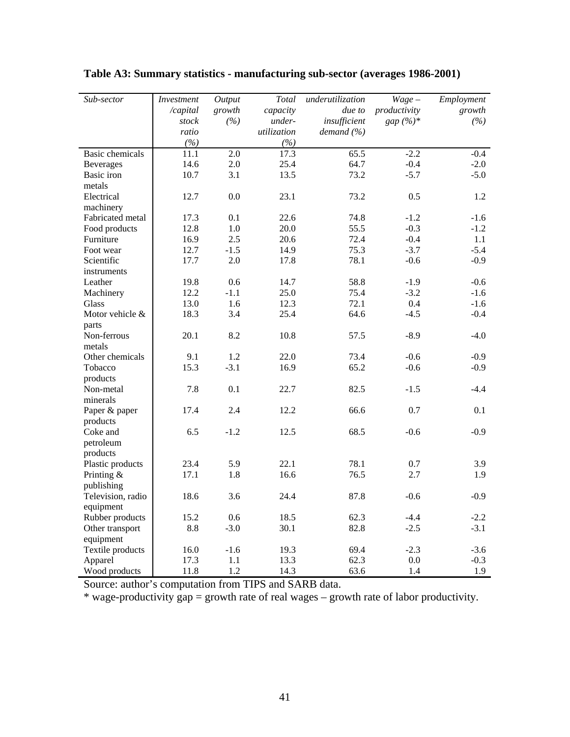| Sub-sector             | Investment | Output | Total       | underutilization | $Wage -$     | Employment |
|------------------------|------------|--------|-------------|------------------|--------------|------------|
|                        | /capital   | growth | capacity    | due to           | productivity | growth     |
|                        | stock      | (%)    | under-      | insufficient     | gap $(\%)^*$ | (%)        |
|                        | ratio      |        | utilization | demand $(\% )$   |              |            |
|                        | (%)        |        | (%)         |                  |              |            |
| <b>Basic</b> chemicals | 11.1       | 2.0    | 17.3        | 65.5             | $-2.2$       | $-0.4$     |
| <b>Beverages</b>       | 14.6       | 2.0    | 25.4        | 64.7             | $-0.4$       | $-2.0$     |
| Basic iron             | 10.7       | 3.1    | 13.5        | 73.2             | $-5.7$       | $-5.0$     |
| metals                 |            |        |             |                  |              |            |
| Electrical             | 12.7       | 0.0    | 23.1        | 73.2             | 0.5          | 1.2        |
| machinery              |            |        |             |                  |              |            |
| Fabricated metal       | 17.3       | 0.1    | 22.6        | 74.8             | $-1.2$       | $-1.6$     |
| Food products          | 12.8       | 1.0    | 20.0        | 55.5             | $-0.3$       | $-1.2$     |
| Furniture              | 16.9       | 2.5    | 20.6        | 72.4             | $-0.4$       | 1.1        |
| Foot wear              | 12.7       | $-1.5$ | 14.9        | 75.3             | $-3.7$       | $-5.4$     |
| Scientific             | 17.7       | 2.0    | 17.8        | 78.1             | $-0.6$       | $-0.9$     |
| instruments            |            |        |             |                  |              |            |
| Leather                | 19.8       | 0.6    | 14.7        | 58.8             | $-1.9$       | $-0.6$     |
| Machinery              | 12.2       | $-1.1$ | 25.0        | 75.4             | $-3.2$       | $-1.6$     |
| Glass                  | 13.0       | 1.6    | 12.3        | 72.1             | 0.4          | $-1.6$     |
| Motor vehicle &        | 18.3       | 3.4    | 25.4        | 64.6             | $-4.5$       | $-0.4$     |
| parts                  |            |        |             |                  |              |            |
| Non-ferrous            | 20.1       | 8.2    | 10.8        | 57.5             | $-8.9$       | $-4.0$     |
| metals                 |            |        |             |                  |              |            |
| Other chemicals        | 9.1        | 1.2    | 22.0        | 73.4             | $-0.6$       | $-0.9$     |
| Tobacco                | 15.3       | $-3.1$ | 16.9        | 65.2             | $-0.6$       | $-0.9$     |
| products               |            |        |             |                  |              |            |
| Non-metal              | 7.8        | 0.1    | 22.7        | 82.5             | $-1.5$       | $-4.4$     |
| minerals               |            |        |             |                  |              |            |
| Paper & paper          | 17.4       | 2.4    | 12.2        | 66.6             | 0.7          | 0.1        |
| products               |            |        |             |                  |              |            |
| Coke and               | 6.5        | $-1.2$ | 12.5        | 68.5             | $-0.6$       | $-0.9$     |
| petroleum              |            |        |             |                  |              |            |
| products               |            |        |             |                  |              |            |
| Plastic products       | 23.4       | 5.9    | 22.1        | 78.1             | 0.7          | 3.9        |
| Printing $&$           | 17.1       | 1.8    | 16.6        | 76.5             | 2.7          | 1.9        |
| publishing             |            |        |             |                  |              |            |
| Television, radio      | 18.6       | 3.6    | 24.4        | 87.8             | $-0.6$       | $-0.9$     |
| equipment              |            |        |             |                  |              |            |
| Rubber products        | 15.2       | 0.6    | 18.5        | 62.3             | $-4.4$       | $-2.2$     |
| Other transport        | 8.8        | $-3.0$ | 30.1        | 82.8             | $-2.5$       | $-3.1$     |
| equipment              |            |        |             |                  |              |            |
| Textile products       | 16.0       | $-1.6$ | 19.3        | 69.4             | $-2.3$       | $-3.6$     |
| Apparel                | 17.3       | 1.1    | 13.3        | 62.3             | $0.0\,$      | $-0.3$     |
| Wood products          | 11.8       | 1.2    | 14.3        | 63.6             | 1.4          | 1.9        |

**Table A3: Summary statistics - manufacturing sub-sector (averages 1986-2001)** 

Source: author's computation from TIPS and SARB data.

\* wage-productivity  $gap = growth$  rate of real wages – growth rate of labor productivity.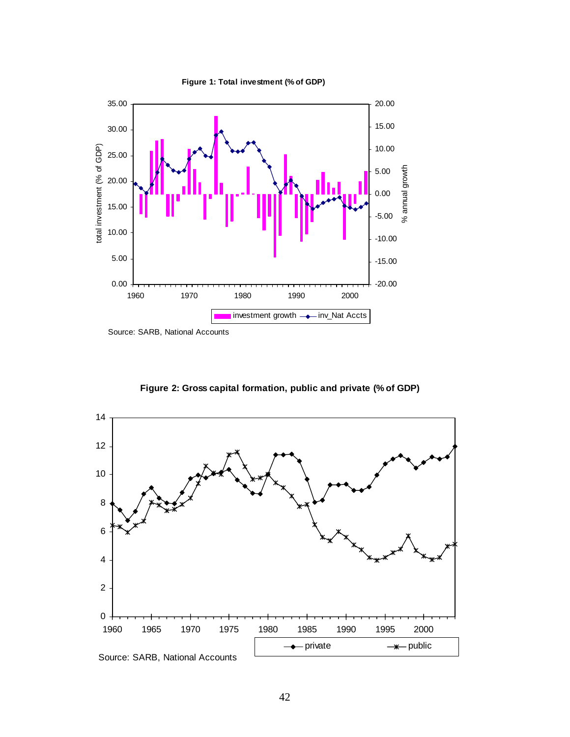

**Figure 1: Total investment (% of GDP)**

Source: SARB, National Accounts



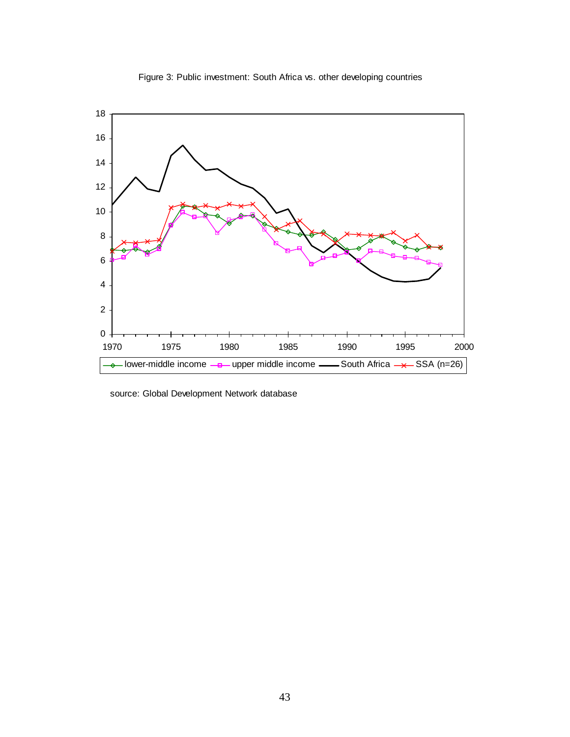

Figure 3: Public investment: South Africa vs. other developing countries

source: Global Development Network database